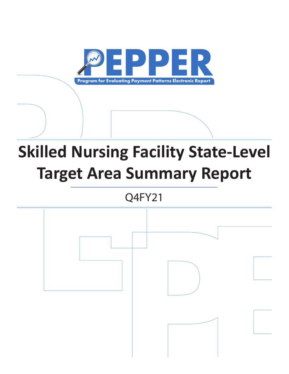

# **Skilled Nursing Facility State-Level Target Area Summary Report**

Q4FY21

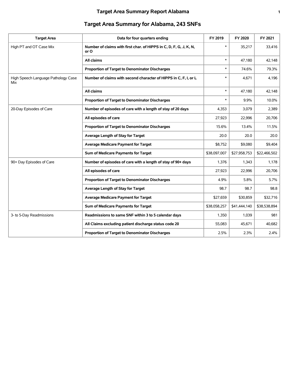## **Target Area Summary Report Alabama 1**

| <b>Target Area Summary for Alabama, 243 SNFs</b> |  |  |
|--------------------------------------------------|--|--|
|                                                  |  |  |

| <b>Target Area</b>                         | Data for four quarters ending                                              | FY 2019      | FY 2020      | FY 2021      |
|--------------------------------------------|----------------------------------------------------------------------------|--------------|--------------|--------------|
| High PT and OT Case Mix                    | Number of claims with first char. of HIPPS in C, D, F, G, J, K, N,<br>or O | $\ast$       | 35,217       | 33,416       |
|                                            | All claims                                                                 | $\ast$       | 47,180       | 42,148       |
|                                            | Proportion of Target to Denominator Discharges                             | $\ast$       | 74.6%        | 79.3%        |
| High Speech Language Pathology Case<br>Mix | Number of claims with second character of HIPPS in C, F, I, or L           | $\ast$       | 4,671        | 4,196        |
|                                            | All claims                                                                 | $\ast$       | 47,180       | 42,148       |
|                                            | Proportion of Target to Denominator Discharges                             | $\ast$       | 9.9%         | 10.0%        |
| 20-Day Episodes of Care                    | Number of episodes of care with a length of stay of 20 days                | 4,353        | 3,079        | 2,389        |
|                                            | All episodes of care                                                       | 27,923       | 22,996       | 20,706       |
|                                            | Proportion of Target to Denominator Discharges                             | 15.6%        | 13.4%        | 11.5%        |
|                                            | Average Length of Stay for Target                                          | 20.0         | 20.0         | 20.0         |
|                                            | <b>Average Medicare Payment for Target</b>                                 | \$8,752      | \$9,080      | \$9,404      |
|                                            | Sum of Medicare Payments for Target                                        | \$38,097,007 | \$27,958,753 | \$22,466,502 |
| 90+ Day Episodes of Care                   | Number of episodes of care with a length of stay of 90+ days               | 1,376        | 1,343        | 1,178        |
|                                            | All episodes of care                                                       | 27,923       | 22,996       | 20,706       |
|                                            | Proportion of Target to Denominator Discharges                             | 4.9%         | 5.8%         | 5.7%         |
|                                            | Average Length of Stay for Target                                          | 98.7         | 98.7         | 98.8         |
|                                            | <b>Average Medicare Payment for Target</b>                                 | \$27,659     | \$30,859     | \$32,716     |
|                                            | Sum of Medicare Payments for Target                                        | \$38,058,257 | \$41,444,140 | \$38,538,894 |
| 3- to 5-Day Readmissions                   | Readmissions to same SNF within 3 to 5 calendar days                       | 1,350        | 1,039        | 981          |
|                                            | All Claims excluding patient discharge status code 20                      | 55,083       | 45,671       | 40,682       |
|                                            | Proportion of Target to Denominator Discharges                             | 2.5%         | 2.3%         | 2.4%         |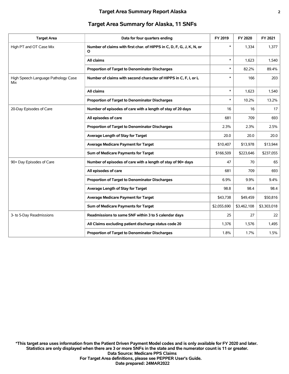#### **Target Area Summary for Alaska, 11 SNFs**

| <b>Target Area</b>                         | Data for four quarters ending                                              | FY 2019     | FY 2020     | FY 2021     |
|--------------------------------------------|----------------------------------------------------------------------------|-------------|-------------|-------------|
| High PT and OT Case Mix                    | Number of claims with first char. of HIPPS in C, D, F, G, J, K, N, or<br>O | $\ast$      | 1,334       | 1,377       |
|                                            | All claims                                                                 | $\ast$      | 1,623       | 1,540       |
|                                            | Proportion of Target to Denominator Discharges                             | $\ast$      | 82.2%       | 89.4%       |
| High Speech Language Pathology Case<br>Mix | Number of claims with second character of HIPPS in C, F, I, or L           | $\ast$      | 166         | 203         |
|                                            | All claims                                                                 | $\ast$      | 1,623       | 1,540       |
|                                            | Proportion of Target to Denominator Discharges                             | $\ast$      | 10.2%       | 13.2%       |
| 20-Day Episodes of Care                    | Number of episodes of care with a length of stay of 20 days                | 16          | 16          | 17          |
|                                            | All episodes of care                                                       | 681         | 709         | 693         |
|                                            | Proportion of Target to Denominator Discharges                             | 2.3%        | 2.3%        | 2.5%        |
|                                            | Average Length of Stay for Target                                          | 20.0        | 20.0        | 20.0        |
|                                            | <b>Average Medicare Payment for Target</b>                                 | \$10,407    | \$13,978    | \$13,944    |
|                                            | Sum of Medicare Payments for Target                                        | \$166,509   | \$223,646   | \$237,055   |
| 90+ Day Episodes of Care                   | Number of episodes of care with a length of stay of 90+ days               | 47          | 70          | 65          |
|                                            | All episodes of care                                                       | 681         | 709         | 693         |
|                                            | Proportion of Target to Denominator Discharges                             | 6.9%        | 9.9%        | 9.4%        |
|                                            | Average Length of Stay for Target                                          | 98.8        | 98.4        | 98.4        |
|                                            | <b>Average Medicare Payment for Target</b>                                 | \$43,738    | \$49,459    | \$50,816    |
|                                            | Sum of Medicare Payments for Target                                        | \$2,055,690 | \$3,462,108 | \$3,303,018 |
| 3- to 5-Day Readmissions                   | Readmissions to same SNF within 3 to 5 calendar days                       | 25          | 27          | 22          |
|                                            | All Claims excluding patient discharge status code 20                      | 1,376       | 1,576       | 1,495       |
|                                            | Proportion of Target to Denominator Discharges                             | 1.8%        | 1.7%        | 1.5%        |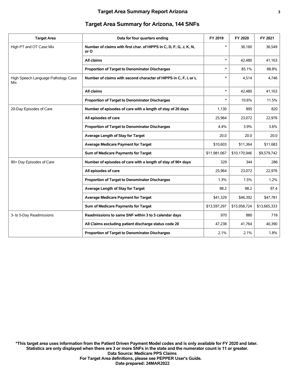| <b>Target Area</b>                         | Data for four quarters ending                                              | FY 2019      | FY 2020      | FY 2021      |
|--------------------------------------------|----------------------------------------------------------------------------|--------------|--------------|--------------|
| High PT and OT Case Mix                    | Number of claims with first char. of HIPPS in C, D, F, G, J, K, N,<br>or O | $\ast$       | 36,160       | 36,549       |
|                                            | All claims                                                                 | $\ast$       | 42,480       | 41,163       |
|                                            | Proportion of Target to Denominator Discharges                             | $\ast$       | 85.1%        | 88.8%        |
| High Speech Language Pathology Case<br>Mix | Number of claims with second character of HIPPS in C, F, I, or L           | *            | 4,514        | 4,746        |
|                                            | All claims                                                                 | $\ast$       | 42,480       | 41,163       |
|                                            | Proportion of Target to Denominator Discharges                             | *            | 10.6%        | 11.5%        |
| 20-Day Episodes of Care                    | Number of episodes of care with a length of stay of 20 days                | 1,130        | 895          | 820          |
|                                            | All episodes of care                                                       | 25,964       | 23,072       | 22,976       |
|                                            | Proportion of Target to Denominator Discharges                             | 4.4%         | 3.9%         | 3.6%         |
|                                            | Average Length of Stay for Target                                          | 20.0         | 20.0         | 20.0         |
|                                            | <b>Average Medicare Payment for Target</b>                                 | \$10,603     | \$11,364     | \$11,683     |
|                                            | Sum of Medicare Payments for Target                                        | \$11,981,067 | \$10,170,946 | \$9,579,742  |
| 90+ Day Episodes of Care                   | Number of episodes of care with a length of stay of 90+ days               | 329          | 344          | 286          |
|                                            | All episodes of care                                                       | 25,964       | 23,072       | 22,976       |
|                                            | Proportion of Target to Denominator Discharges                             | 1.3%         | 1.5%         | 1.2%         |
|                                            | Average Length of Stay for Target                                          | 98.2         | 98.2         | 97.4         |
|                                            | <b>Average Medicare Payment for Target</b>                                 | \$41,329     | \$46,392     | \$47,781     |
|                                            | Sum of Medicare Payments for Target                                        | \$13,597,297 | \$15,958,724 | \$13,665,333 |
| 3- to 5-Day Readmissions                   | Readmissions to same SNF within 3 to 5 calendar days                       | 970          | 880          | 718          |
|                                            | All Claims excluding patient discharge status code 20                      | 47,238       | 41,764       | 40,390       |
|                                            | Proportion of Target to Denominator Discharges                             | 2.1%         | 2.1%         | 1.8%         |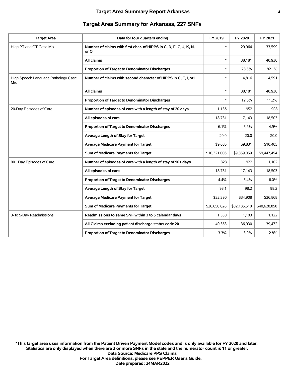| <b>Target Area</b>                         | Data for four quarters ending                                              | FY 2019      | FY 2020      | FY 2021      |
|--------------------------------------------|----------------------------------------------------------------------------|--------------|--------------|--------------|
| High PT and OT Case Mix                    | Number of claims with first char. of HIPPS in C, D, F, G, J, K, N,<br>or O | $\ast$       | 29.964       | 33,599       |
|                                            | All claims                                                                 | $\ast$       | 38,181       | 40,930       |
|                                            | Proportion of Target to Denominator Discharges                             | $\ast$       | 78.5%        | 82.1%        |
| High Speech Language Pathology Case<br>Mix | Number of claims with second character of HIPPS in C, F, I, or L           | $\ast$       | 4,816        | 4,591        |
|                                            | All claims                                                                 | $\ast$       | 38,181       | 40,930       |
|                                            | Proportion of Target to Denominator Discharges                             | $\ast$       | 12.6%        | 11.2%        |
| 20-Day Episodes of Care                    | Number of episodes of care with a length of stay of 20 days                | 1,136        | 952          | 908          |
|                                            | All episodes of care                                                       | 18,731       | 17,143       | 18,503       |
|                                            | Proportion of Target to Denominator Discharges                             | 6.1%         | 5.6%         | 4.9%         |
|                                            | Average Length of Stay for Target                                          | 20.0         | 20.0         | 20.0         |
|                                            | <b>Average Medicare Payment for Target</b>                                 | \$9,085      | \$9,831      | \$10,405     |
|                                            | Sum of Medicare Payments for Target                                        | \$10,321,006 | \$9,359,059  | \$9,447,454  |
| 90+ Day Episodes of Care                   | Number of episodes of care with a length of stay of 90+ days               | 823          | 922          | 1,102        |
|                                            | All episodes of care                                                       | 18,731       | 17,143       | 18,503       |
|                                            | Proportion of Target to Denominator Discharges                             | 4.4%         | 5.4%         | 6.0%         |
|                                            | Average Length of Stay for Target                                          | 98.1         | 98.2         | 98.2         |
|                                            | <b>Average Medicare Payment for Target</b>                                 | \$32,390     | \$34,908     | \$36,868     |
|                                            | Sum of Medicare Payments for Target                                        | \$26,656,626 | \$32,185,518 | \$40,628,850 |
| 3- to 5-Day Readmissions                   | Readmissions to same SNF within 3 to 5 calendar days                       | 1,330        | 1,103        | 1,122        |
|                                            | All Claims excluding patient discharge status code 20                      | 40,353       | 36,930       | 39,472       |
|                                            | <b>Proportion of Target to Denominator Discharges</b>                      | 3.3%         | 3.0%         | 2.8%         |

#### **Target Area Summary for Arkansas, 227 SNFs**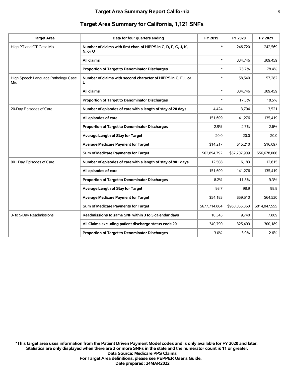| <b>Target Area</b>                         | Data for four quarters ending                                              | FY 2019       | FY 2020       | FY 2021       |
|--------------------------------------------|----------------------------------------------------------------------------|---------------|---------------|---------------|
| High PT and OT Case Mix                    | Number of claims with first char. of HIPPS in C, D, F, G, J, K,<br>N, or O | $\ast$        | 246.720       | 242,569       |
|                                            | All claims                                                                 | $\ast$        | 334,746       | 309,459       |
|                                            | Proportion of Target to Denominator Discharges                             | $\ast$        | 73.7%         | 78.4%         |
| High Speech Language Pathology Case<br>Mix | Number of claims with second character of HIPPS in C, F, I, or<br>L        | $\ast$        | 58,540        | 57,282        |
|                                            | All claims                                                                 | $\ast$        | 334,746       | 309,459       |
|                                            | Proportion of Target to Denominator Discharges                             | $\ast$        | 17.5%         | 18.5%         |
| 20-Day Episodes of Care                    | Number of episodes of care with a length of stay of 20 days                | 4,424         | 3,794         | 3,521         |
|                                            | All episodes of care                                                       | 151,699       | 141,276       | 135,419       |
|                                            | Proportion of Target to Denominator Discharges                             | 2.9%          | 2.7%          | 2.6%          |
|                                            | Average Length of Stay for Target                                          | 20.0          | 20.0          | 20.0          |
|                                            | Average Medicare Payment for Target                                        | \$14,217      | \$15,210      | \$16,097      |
|                                            | Sum of Medicare Payments for Target                                        | \$62,894,792  | \$57,707,909  | \$56,678,066  |
| 90+ Day Episodes of Care                   | Number of episodes of care with a length of stay of 90+ days               | 12,508        | 16,183        | 12,615        |
|                                            | All episodes of care                                                       | 151,699       | 141,276       | 135,419       |
|                                            | Proportion of Target to Denominator Discharges                             | 8.2%          | 11.5%         | 9.3%          |
|                                            | Average Length of Stay for Target                                          | 98.7          | 98.9          | 98.8          |
|                                            | <b>Average Medicare Payment for Target</b>                                 | \$54,183      | \$59.510      | \$64,530      |
|                                            | Sum of Medicare Payments for Target                                        | \$677,714,884 | \$963,055,360 | \$814,047,555 |
| 3- to 5-Day Readmissions                   | Readmissions to same SNF within 3 to 5 calendar days                       | 10,345        | 9,740         | 7,809         |
|                                            | All Claims excluding patient discharge status code 20                      | 340,790       | 325,499       | 300,189       |
|                                            | Proportion of Target to Denominator Discharges                             | 3.0%          | $3.0\%$       | 2.6%          |
|                                            |                                                                            |               |               |               |

## **Target Area Summary for California, 1,121 SNFs**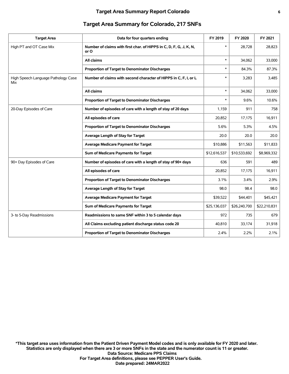| <b>Target Area</b>                         | Data for four quarters ending                                              | FY 2019      | FY 2020      | FY 2021      |
|--------------------------------------------|----------------------------------------------------------------------------|--------------|--------------|--------------|
| High PT and OT Case Mix                    | Number of claims with first char. of HIPPS in C, D, F, G, J, K, N,<br>or O | $\ast$       | 28,728       | 28,823       |
|                                            | All claims                                                                 | $\ast$       | 34,062       | 33,000       |
|                                            | Proportion of Target to Denominator Discharges                             | $\ast$       | 84.3%        | 87.3%        |
| High Speech Language Pathology Case<br>Mix | Number of claims with second character of HIPPS in C, F, I, or L           | *            | 3,283        | 3,485        |
|                                            | All claims                                                                 | $\ast$       | 34,062       | 33,000       |
|                                            | Proportion of Target to Denominator Discharges                             | $\ast$       | 9.6%         | 10.6%        |
| 20-Day Episodes of Care                    | Number of episodes of care with a length of stay of 20 days                | 1,159        | 911          | 758          |
|                                            | All episodes of care                                                       | 20,852       | 17,175       | 16,911       |
|                                            | Proportion of Target to Denominator Discharges                             | 5.6%         | 5.3%         | 4.5%         |
|                                            | Average Length of Stay for Target                                          | 20.0         | 20.0         | 20.0         |
|                                            | <b>Average Medicare Payment for Target</b>                                 | \$10,886     | \$11,563     | \$11,833     |
|                                            | Sum of Medicare Payments for Target                                        | \$12,616,537 | \$10,533,692 | \$8,969,332  |
| 90+ Day Episodes of Care                   | Number of episodes of care with a length of stay of 90+ days               | 636          | 591          | 489          |
|                                            | All episodes of care                                                       | 20,852       | 17,175       | 16,911       |
|                                            | Proportion of Target to Denominator Discharges                             | 3.1%         | 3.4%         | 2.9%         |
|                                            | Average Length of Stay for Target                                          | 98.0         | 98.4         | 98.0         |
|                                            | <b>Average Medicare Payment for Target</b>                                 | \$39,522     | \$44,401     | \$45,421     |
|                                            | Sum of Medicare Payments for Target                                        | \$25,136,037 | \$26,240,700 | \$22,210,831 |
| 3- to 5-Day Readmissions                   | Readmissions to same SNF within 3 to 5 calendar days                       | 972          | 735          | 679          |
|                                            | All Claims excluding patient discharge status code 20                      | 40,810       | 33,174       | 31,918       |
|                                            | Proportion of Target to Denominator Discharges                             | 2.4%         | 2.2%         | 2.1%         |
|                                            |                                                                            |              |              |              |

## **Target Area Summary for Colorado, 217 SNFs**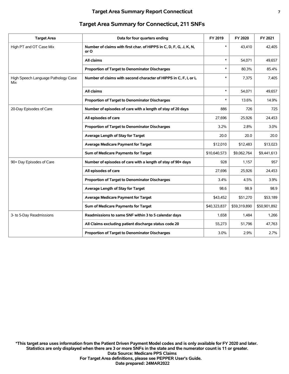| <b>Target Area</b>                         | Data for four quarters ending                                              | FY 2019      | FY 2020      | FY 2021      |
|--------------------------------------------|----------------------------------------------------------------------------|--------------|--------------|--------------|
| High PT and OT Case Mix                    | Number of claims with first char. of HIPPS in C, D, F, G, J, K, N,<br>or O | $\ast$       | 43,410       | 42,405       |
|                                            | All claims                                                                 | $\ast$       | 54,071       | 49,657       |
|                                            | Proportion of Target to Denominator Discharges                             | $\ast$       | 80.3%        | 85.4%        |
| High Speech Language Pathology Case<br>Mix | Number of claims with second character of HIPPS in C, F, I, or L           | $\ast$       | 7,375        | 7,405        |
|                                            | All claims                                                                 | $\ast$       | 54,071       | 49,657       |
|                                            | Proportion of Target to Denominator Discharges                             | $\ast$       | 13.6%        | 14.9%        |
| 20-Day Episodes of Care                    | Number of episodes of care with a length of stay of 20 days                | 886          | 726          | 725          |
|                                            | All episodes of care                                                       | 27,696       | 25,926       | 24,453       |
|                                            | <b>Proportion of Target to Denominator Discharges</b>                      | 3.2%         | 2.8%         | 3.0%         |
|                                            | Average Length of Stay for Target                                          | 20.0         | 20.0         | 20.0         |
|                                            | <b>Average Medicare Payment for Target</b>                                 | \$12,010     | \$12,483     | \$13,023     |
|                                            | Sum of Medicare Payments for Target                                        | \$10,640,573 | \$9,062,764  | \$9,441,613  |
| 90+ Day Episodes of Care                   | Number of episodes of care with a length of stay of 90+ days               | 928          | 1,157        | 957          |
|                                            | All episodes of care                                                       | 27,696       | 25,926       | 24,453       |
|                                            | Proportion of Target to Denominator Discharges                             | 3.4%         | 4.5%         | 3.9%         |
|                                            | Average Length of Stay for Target                                          | 98.6         | 98.9         | 98.9         |
|                                            | <b>Average Medicare Payment for Target</b>                                 | \$43,452     | \$51,270     | \$53,189     |
|                                            | Sum of Medicare Payments for Target                                        | \$40,323,837 | \$59,319,890 | \$50,901,892 |
| 3- to 5-Day Readmissions                   | Readmissions to same SNF within 3 to 5 calendar days                       | 1,658        | 1,484        | 1,266        |
|                                            | All Claims excluding patient discharge status code 20                      | 55,273       | 51,796       | 47,763       |
|                                            | <b>Proportion of Target to Denominator Discharges</b>                      | 3.0%         | 2.9%         | 2.7%         |
|                                            |                                                                            |              |              |              |

## **Target Area Summary for Connecticut, 211 SNFs**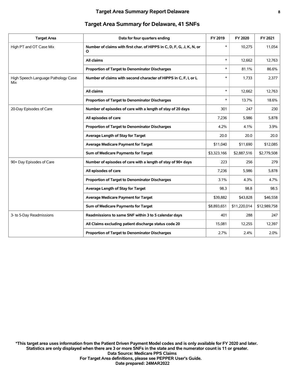| <b>Target Area</b>                         | Data for four quarters ending                                              | FY 2019     | FY 2020      | FY 2021      |
|--------------------------------------------|----------------------------------------------------------------------------|-------------|--------------|--------------|
| High PT and OT Case Mix                    | Number of claims with first char. of HIPPS in C, D, F, G, J, K, N, or<br>O | $\ast$      | 10,275       | 11,054       |
|                                            | All claims                                                                 | $\ast$      | 12,662       | 12,763       |
|                                            | <b>Proportion of Target to Denominator Discharges</b>                      | $\ast$      | 81.1%        | 86.6%        |
| High Speech Language Pathology Case<br>Mix | Number of claims with second character of HIPPS in C, F, I, or L           | $\ast$      | 1.733        | 2,377        |
|                                            | All claims                                                                 | $\ast$      | 12,662       | 12,763       |
|                                            | Proportion of Target to Denominator Discharges                             | $\ast$      | 13.7%        | 18.6%        |
| 20-Day Episodes of Care                    | Number of episodes of care with a length of stay of 20 days                | 301         | 247          | 230          |
|                                            | All episodes of care                                                       | 7,236       | 5,986        | 5,878        |
|                                            | Proportion of Target to Denominator Discharges                             | 4.2%        | 4.1%         | 3.9%         |
|                                            | Average Length of Stay for Target                                          | 20.0        | 20.0         | 20.0         |
|                                            | <b>Average Medicare Payment for Target</b>                                 | \$11,040    | \$11,690     | \$12,085     |
|                                            | Sum of Medicare Payments for Target                                        | \$3,323,166 | \$2,887,516  | \$2,779,508  |
| 90+ Day Episodes of Care                   | Number of episodes of care with a length of stay of 90+ days               | 223         | 256          | 279          |
|                                            | All episodes of care                                                       | 7,236       | 5,986        | 5,878        |
|                                            | Proportion of Target to Denominator Discharges                             | 3.1%        | 4.3%         | 4.7%         |
|                                            | Average Length of Stay for Target                                          | 98.3        | 98.8         | 98.5         |
|                                            | <b>Average Medicare Payment for Target</b>                                 | \$39,882    | \$43,828     | \$46,558     |
|                                            | Sum of Medicare Payments for Target                                        | \$8,893,651 | \$11,220,014 | \$12,989,758 |
| 3- to 5-Day Readmissions                   | Readmissions to same SNF within 3 to 5 calendar days                       | 401         | 288          | 247          |
|                                            | All Claims excluding patient discharge status code 20                      | 15,081      | 12,255       | 12,397       |
|                                            | <b>Proportion of Target to Denominator Discharges</b>                      | 2.7%        | 2.4%         | 2.0%         |

## **Target Area Summary for Delaware, 41 SNFs**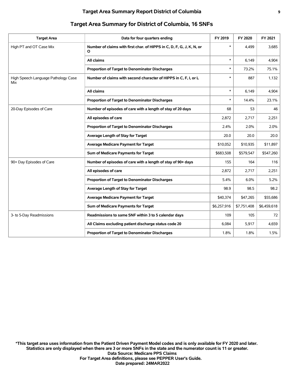| <b>Target Area</b>                         | Data for four quarters ending                                              | FY 2019     | FY 2020     | FY 2021     |
|--------------------------------------------|----------------------------------------------------------------------------|-------------|-------------|-------------|
| High PT and OT Case Mix                    | Number of claims with first char. of HIPPS in C, D, F, G, J, K, N, or<br>O | $\ast$      | 4,499       | 3,685       |
|                                            | All claims                                                                 | $\ast$      | 6,149       | 4,904       |
|                                            | Proportion of Target to Denominator Discharges                             | $\ast$      | 73.2%       | 75.1%       |
| High Speech Language Pathology Case<br>Mix | Number of claims with second character of HIPPS in C, F, I, or L           | $\ast$      | 887         | 1,132       |
|                                            | All claims                                                                 | $\ast$      | 6.149       | 4,904       |
|                                            | Proportion of Target to Denominator Discharges                             | $\ast$      | 14.4%       | 23.1%       |
| 20-Day Episodes of Care                    | Number of episodes of care with a length of stay of 20 days                | 68          | 53          | 46          |
|                                            | All episodes of care                                                       | 2,872       | 2,717       | 2,251       |
|                                            | <b>Proportion of Target to Denominator Discharges</b>                      | 2.4%        | 2.0%        | 2.0%        |
|                                            | Average Length of Stay for Target                                          | 20.0        | 20.0        | 20.0        |
|                                            | <b>Average Medicare Payment for Target</b>                                 | \$10,052    | \$10,935    | \$11,897    |
|                                            | Sum of Medicare Payments for Target                                        | \$683,508   | \$579,547   | \$547,260   |
| 90+ Day Episodes of Care                   | Number of episodes of care with a length of stay of 90+ days               | 155         | 164         | 116         |
|                                            | All episodes of care                                                       | 2,872       | 2,717       | 2,251       |
|                                            | Proportion of Target to Denominator Discharges                             | 5.4%        | 6.0%        | 5.2%        |
|                                            | Average Length of Stay for Target                                          | 98.9        | 98.5        | 98.2        |
|                                            | <b>Average Medicare Payment for Target</b>                                 | \$40,374    | \$47,265    | \$55,686    |
|                                            | Sum of Medicare Payments for Target                                        | \$6,257,916 | \$7,751,408 | \$6,459,618 |
| 3- to 5-Day Readmissions                   | Readmissions to same SNF within 3 to 5 calendar days                       | 109         | 105         | 72          |
|                                            | All Claims excluding patient discharge status code 20                      | 6,084       | 5,917       | 4,659       |
|                                            | <b>Proportion of Target to Denominator Discharges</b>                      | 1.8%        | 1.8%        | 1.5%        |

#### **Target Area Summary for District of Columbia, 16 SNFs**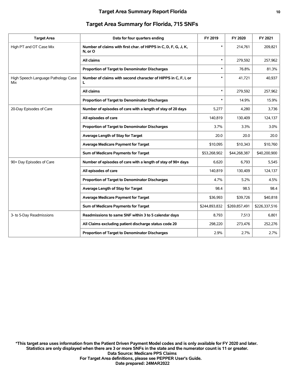#### **Target Area Summary Report Florida 10**

|                                            | Target Area Summary for Florida, 7 is SNFS                                 |               |               |               |
|--------------------------------------------|----------------------------------------------------------------------------|---------------|---------------|---------------|
| <b>Target Area</b>                         | Data for four quarters ending                                              | FY 2019       | FY 2020       | FY 2021       |
| High PT and OT Case Mix                    | Number of claims with first char. of HIPPS in C, D, F, G, J, K,<br>N, or O | $\ast$        | 214.761       | 209,821       |
|                                            | All claims                                                                 | $\ast$        | 279,592       | 257,962       |
|                                            | Proportion of Target to Denominator Discharges                             | *             | 76.8%         | 81.3%         |
| High Speech Language Pathology Case<br>Mix | Number of claims with second character of HIPPS in C, F, I, or<br>L        | $\ast$        | 41,721        | 40,937        |
|                                            | All claims                                                                 | $\ast$        | 279,592       | 257,962       |
|                                            | Proportion of Target to Denominator Discharges                             | $\ast$        | 14.9%         | 15.9%         |
| 20-Day Episodes of Care                    | Number of episodes of care with a length of stay of 20 days                | 5,277         | 4,280         | 3,736         |
|                                            | All episodes of care                                                       | 140,819       | 130,409       | 124,137       |
|                                            | <b>Proportion of Target to Denominator Discharges</b>                      | 3.7%          | 3.3%          | 3.0%          |
|                                            | Average Length of Stay for Target                                          | 20.0          | 20.0          | 20.0          |
|                                            | <b>Average Medicare Payment for Target</b>                                 | \$10,095      | \$10,343      | \$10,760      |
|                                            | Sum of Medicare Payments for Target                                        | \$53,268,902  | \$44,268,387  | \$40,200,900  |
| 90+ Day Episodes of Care                   | Number of episodes of care with a length of stay of 90+ days               | 6,620         | 6.793         | 5,545         |
|                                            | All episodes of care                                                       | 140,819       | 130,409       | 124,137       |
|                                            | Proportion of Target to Denominator Discharges                             | 4.7%          | 5.2%          | 4.5%          |
|                                            | Average Length of Stay for Target                                          | 98.4          | 98.5          | 98.4          |
|                                            | <b>Average Medicare Payment for Target</b>                                 | \$36,993      | \$39,726      | \$40,818      |
|                                            | Sum of Medicare Payments for Target                                        | \$244,893,832 | \$269,857,491 | \$226,337,516 |
| 3- to 5-Day Readmissions                   | Readmissions to same SNF within 3 to 5 calendar days                       | 8,793         | 7,513         | 6,801         |
|                                            | All Claims excluding patient discharge status code 20                      | 298,220       | 273,476       | 252,276       |

**Proportion of Target to Denominator Discharges** 2.9% 2.9% 2.7% 2.7%

#### **Target Area Summary for Florida, 715 SNFs**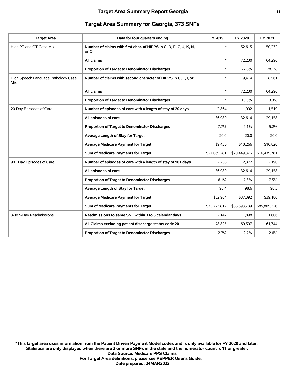| <b>Target Area</b>                         | Data for four quarters ending                                              | FY 2019      | FY 2020      | FY 2021      |
|--------------------------------------------|----------------------------------------------------------------------------|--------------|--------------|--------------|
| High PT and OT Case Mix                    | Number of claims with first char. of HIPPS in C, D, F, G, J, K, N,<br>or O | $\ast$       | 52,615       | 50,232       |
|                                            | All claims                                                                 | $\ast$       | 72,230       | 64,296       |
|                                            | Proportion of Target to Denominator Discharges                             | $\ast$       | 72.8%        | 78.1%        |
| High Speech Language Pathology Case<br>Mix | Number of claims with second character of HIPPS in C, F, I, or L           | $\ast$       | 9,414        | 8,561        |
|                                            | All claims                                                                 | $\ast$       | 72,230       | 64,296       |
|                                            | Proportion of Target to Denominator Discharges                             | $\ast$       | 13.0%        | 13.3%        |
| 20-Day Episodes of Care                    | Number of episodes of care with a length of stay of 20 days                | 2,864        | 1,992        | 1,519        |
|                                            | All episodes of care                                                       | 36,980       | 32,614       | 29,158       |
|                                            | Proportion of Target to Denominator Discharges                             | 7.7%         | 6.1%         | 5.2%         |
|                                            | Average Length of Stay for Target                                          | 20.0         | 20.0         | 20.0         |
|                                            | <b>Average Medicare Payment for Target</b>                                 | \$9,450      | \$10,266     | \$10,820     |
|                                            | Sum of Medicare Payments for Target                                        | \$27,065,281 | \$20,449,376 | \$16,435,781 |
| 90+ Day Episodes of Care                   | Number of episodes of care with a length of stay of 90+ days               | 2,238        | 2,372        | 2,190        |
|                                            | All episodes of care                                                       | 36,980       | 32,614       | 29,158       |
|                                            | <b>Proportion of Target to Denominator Discharges</b>                      | 6.1%         | 7.3%         | 7.5%         |
|                                            | Average Length of Stay for Target                                          | 98.4         | 98.6         | 98.5         |
|                                            | <b>Average Medicare Payment for Target</b>                                 | \$32,964     | \$37,392     | \$39,180     |
|                                            | Sum of Medicare Payments for Target                                        | \$73,773,812 | \$88,693,789 | \$85,805,226 |
| 3- to 5-Day Readmissions                   | Readmissions to same SNF within 3 to 5 calendar days                       | 2,142        | 1,898        | 1,606        |
|                                            | All Claims excluding patient discharge status code 20                      | 78,825       | 69,597       | 61,744       |
|                                            | Proportion of Target to Denominator Discharges                             | 2.7%         | 2.7%         | 2.6%         |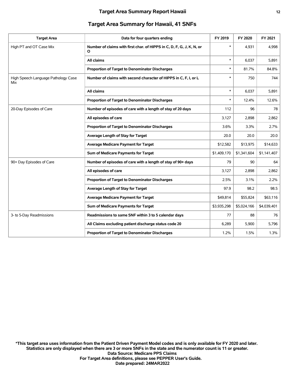#### **Target Area Summary for Hawaii, 41 SNFs**

| <b>Target Area</b>                         | Data for four quarters ending                                              | FY 2019     | FY 2020     | FY 2021     |
|--------------------------------------------|----------------------------------------------------------------------------|-------------|-------------|-------------|
| High PT and OT Case Mix                    | Number of claims with first char. of HIPPS in C, D, F, G, J, K, N, or<br>O | $\ast$      | 4,931       | 4,998       |
|                                            | All claims                                                                 | $\ast$      | 6,037       | 5,891       |
|                                            | Proportion of Target to Denominator Discharges                             | $\ast$      | 81.7%       | 84.8%       |
| High Speech Language Pathology Case<br>Mix | Number of claims with second character of HIPPS in C, F, I, or L           | $\ast$      | 750         | 744         |
|                                            | All claims                                                                 | $\ast$      | 6,037       | 5,891       |
|                                            | Proportion of Target to Denominator Discharges                             | $\ast$      | 12.4%       | 12.6%       |
| 20-Day Episodes of Care                    | Number of episodes of care with a length of stay of 20 days                | 112         | 96          | 78          |
|                                            | All episodes of care                                                       | 3,127       | 2,898       | 2,862       |
|                                            | Proportion of Target to Denominator Discharges                             | 3.6%        | 3.3%        | 2.7%        |
|                                            | Average Length of Stay for Target                                          | 20.0        | 20.0        | 20.0        |
|                                            | Average Medicare Payment for Target                                        | \$12,582    | \$13,975    | \$14,633    |
|                                            | Sum of Medicare Payments for Target                                        | \$1,409,170 | \$1,341,604 | \$1,141,407 |
| 90+ Day Episodes of Care                   | Number of episodes of care with a length of stay of 90+ days               | 79          | 90          | 64          |
|                                            | All episodes of care                                                       | 3,127       | 2,898       | 2,862       |
|                                            | Proportion of Target to Denominator Discharges                             | 2.5%        | 3.1%        | 2.2%        |
|                                            | Average Length of Stay for Target                                          | 97.9        | 98.2        | 98.5        |
|                                            | <b>Average Medicare Payment for Target</b>                                 | \$49,814    | \$55,824    | \$63,116    |
|                                            | Sum of Medicare Payments for Target                                        | \$3,935,298 | \$5,024,166 | \$4,039,401 |
| 3- to 5-Day Readmissions                   | Readmissions to same SNF within 3 to 5 calendar days                       | 77          | 88          | 76          |
|                                            | All Claims excluding patient discharge status code 20                      | 6,289       | 5,900       | 5,796       |
|                                            | Proportion of Target to Denominator Discharges                             | 1.2%        | 1.5%        | 1.3%        |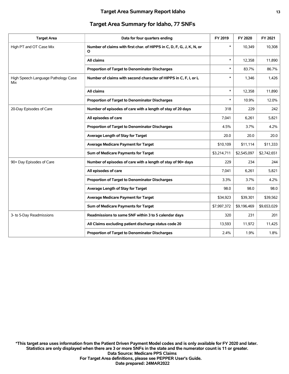#### **Target Area Summary for Idaho, 77 SNFs**

| <b>Target Area</b>                         | Data for four quarters ending                                              | FY 2019     | FY 2020     | FY 2021     |
|--------------------------------------------|----------------------------------------------------------------------------|-------------|-------------|-------------|
| High PT and OT Case Mix                    | Number of claims with first char. of HIPPS in C, D, F, G, J, K, N, or<br>O | $\ast$      | 10,349      | 10,308      |
|                                            | All claims                                                                 | $\ast$      | 12,358      | 11,890      |
|                                            | Proportion of Target to Denominator Discharges                             | $\ast$      | 83.7%       | 86.7%       |
| High Speech Language Pathology Case<br>Mix | Number of claims with second character of HIPPS in C, F, I, or L           | $\ast$      | 1,346       | 1,426       |
|                                            | All claims                                                                 | $\ast$      | 12,358      | 11,890      |
|                                            | Proportion of Target to Denominator Discharges                             | $\ast$      | 10.9%       | 12.0%       |
| 20-Day Episodes of Care                    | Number of episodes of care with a length of stay of 20 days                | 318         | 229         | 242         |
|                                            | All episodes of care                                                       | 7,041       | 6,261       | 5,821       |
|                                            | Proportion of Target to Denominator Discharges                             | 4.5%        | 3.7%        | 4.2%        |
|                                            | Average Length of Stay for Target                                          | 20.0        | 20.0        | 20.0        |
|                                            | <b>Average Medicare Payment for Target</b>                                 | \$10,109    | \$11,114    | \$11,333    |
|                                            | Sum of Medicare Payments for Target                                        | \$3,214,711 | \$2,545,097 | \$2,742,651 |
| 90+ Day Episodes of Care                   | Number of episodes of care with a length of stay of 90+ days               | 229         | 234         | 244         |
|                                            | All episodes of care                                                       | 7,041       | 6,261       | 5,821       |
|                                            | Proportion of Target to Denominator Discharges                             | 3.3%        | 3.7%        | 4.2%        |
|                                            | Average Length of Stay for Target                                          | 98.0        | 98.0        | 98.0        |
|                                            | Average Medicare Payment for Target                                        | \$34,923    | \$39,301    | \$39,562    |
|                                            | Sum of Medicare Payments for Target                                        | \$7,997,372 | \$9,196,469 | \$9,653,029 |
| 3- to 5-Day Readmissions                   | Readmissions to same SNF within 3 to 5 calendar days                       | 320         | 231         | 201         |
|                                            | All Claims excluding patient discharge status code 20                      | 13,593      | 11,972      | 11,425      |
|                                            | Proportion of Target to Denominator Discharges                             | 2.4%        | 1.9%        | 1.8%        |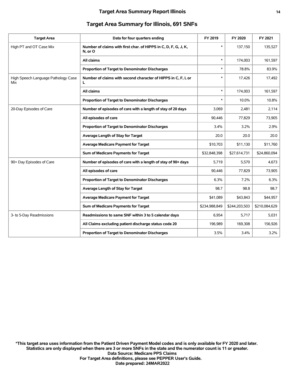#### **Target Area Summary Report Illinois 14**

| <b>Target Area</b>                         | Data for four quarters ending                                              | FY 2019       | FY 2020       | FY 2021       |
|--------------------------------------------|----------------------------------------------------------------------------|---------------|---------------|---------------|
| High PT and OT Case Mix                    | Number of claims with first char. of HIPPS in C, D, F, G, J, K,<br>N, or O | $\ast$        | 137,150       | 135,527       |
|                                            | All claims                                                                 | $\ast$        | 174,003       | 161,597       |
|                                            | Proportion of Target to Denominator Discharges                             | *             | 78.8%         | 83.9%         |
| High Speech Language Pathology Case<br>Mix | Number of claims with second character of HIPPS in C, F, I, or<br>L        | $\ast$        | 17,426        | 17,492        |
|                                            | All claims                                                                 | $\ast$        | 174,003       | 161,597       |
|                                            | <b>Proportion of Target to Denominator Discharges</b>                      | $\ast$        | 10.0%         | 10.8%         |
| 20-Day Episodes of Care                    | Number of episodes of care with a length of stay of 20 days                | 3,069         | 2,481         | 2,114         |
|                                            | All episodes of care                                                       | 90,446        | 77,829        | 73,905        |
|                                            | Proportion of Target to Denominator Discharges                             | 3.4%          | 3.2%          | 2.9%          |
|                                            | Average Length of Stay for Target                                          | 20.0          | 20.0          | 20.0          |
|                                            | Average Medicare Payment for Target                                        | \$10,703      | \$11,130      | \$11,760      |
|                                            | Sum of Medicare Payments for Target                                        | \$32,848,398  | \$27,614,731  | \$24,860,094  |
| 90+ Day Episodes of Care                   | Number of episodes of care with a length of stay of 90+ days               | 5,719         | 5,570         | 4,673         |
|                                            | All episodes of care                                                       | 90.446        | 77,829        | 73,905        |
|                                            | Proportion of Target to Denominator Discharges                             | 6.3%          | 7.2%          | 6.3%          |
|                                            | Average Length of Stay for Target                                          | 98.7          | 98.8          | 98.7          |
|                                            | Average Medicare Payment for Target                                        | \$41,089      | \$43,843      | \$44,957      |
|                                            | Sum of Medicare Payments for Target                                        | \$234,988,849 | \$244,203,503 | \$210,084,629 |
| 3- to 5-Day Readmissions                   | Readmissions to same SNF within 3 to 5 calendar days                       | 6,954         | 5,717         | 5,031         |
|                                            | All Claims excluding patient discharge status code 20                      | 196,989       | 169,308       | 156,926       |
|                                            | Proportion of Target to Denominator Discharges                             | 3.5%          | 3.4%          | 3.2%          |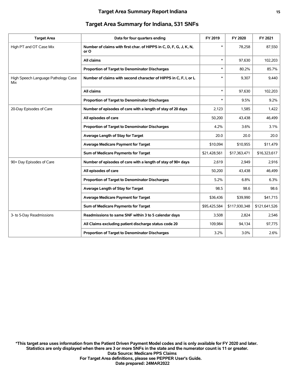#### **Target Area Summary Report Indiana 15**

| <b>Target Area</b>                         | Data for four quarters ending                                              | FY 2019      | FY 2020       | FY 2021       |
|--------------------------------------------|----------------------------------------------------------------------------|--------------|---------------|---------------|
| High PT and OT Case Mix                    | Number of claims with first char. of HIPPS in C, D, F, G, J, K, N,<br>or O | $\ast$       | 78,258        | 87,550        |
|                                            | All claims                                                                 | $\ast$       | 97,630        | 102,203       |
|                                            | Proportion of Target to Denominator Discharges                             | $\ast$       | 80.2%         | 85.7%         |
| High Speech Language Pathology Case<br>Mix | Number of claims with second character of HIPPS in C, F, I, or L           | $\ast$       | 9,307         | 9,440         |
|                                            | All claims                                                                 | $\ast$       | 97,630        | 102,203       |
|                                            | Proportion of Target to Denominator Discharges                             | $\ast$       | 9.5%          | 9.2%          |
| 20-Day Episodes of Care                    | Number of episodes of care with a length of stay of 20 days                | 2,123        | 1,585         | 1,422         |
|                                            | All episodes of care                                                       | 50,200       | 43,438        | 46,499        |
|                                            | Proportion of Target to Denominator Discharges                             | 4.2%         | 3.6%          | 3.1%          |
|                                            | Average Length of Stay for Target                                          | 20.0         | 20.0          | 20.0          |
|                                            | <b>Average Medicare Payment for Target</b>                                 | \$10,094     | \$10,955      | \$11,479      |
|                                            | Sum of Medicare Payments for Target                                        | \$21,428,561 | \$17,363,471  | \$16,323,617  |
| 90+ Day Episodes of Care                   | Number of episodes of care with a length of stay of 90+ days               | 2,619        | 2,949         | 2,916         |
|                                            | All episodes of care                                                       | 50,200       | 43,438        | 46,499        |
|                                            | Proportion of Target to Denominator Discharges                             | 5.2%         | 6.8%          | 6.3%          |
|                                            | Average Length of Stay for Target                                          | 98.5         | 98.6          | 98.6          |
|                                            | <b>Average Medicare Payment for Target</b>                                 | \$36,436     | \$39,990      | \$41,715      |
|                                            | Sum of Medicare Payments for Target                                        | \$95,425,584 | \$117,930,348 | \$121,641,526 |
| 3- to 5-Day Readmissions                   | Readmissions to same SNF within 3 to 5 calendar days                       | 3,508        | 2,824         | 2,546         |
|                                            | All Claims excluding patient discharge status code 20                      | 109,984      | 94,134        | 97,775        |
|                                            | Proportion of Target to Denominator Discharges                             | 3.2%         | 3.0%          | 2.6%          |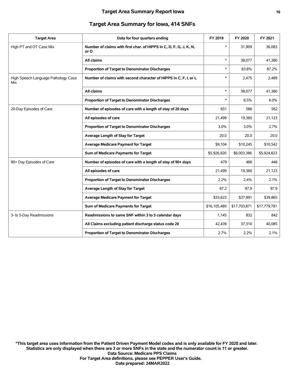#### **Target Area Summary for Iowa, 414 SNFs**

| <b>Target Area</b>                         | Data for four quarters ending                                              | FY 2019      | FY 2020      | FY 2021      |
|--------------------------------------------|----------------------------------------------------------------------------|--------------|--------------|--------------|
| High PT and OT Case Mix                    | Number of claims with first char. of HIPPS in C, D, F, G, J, K, N,<br>or O | $\ast$       | 31,909       | 36,083       |
|                                            | All claims                                                                 | $\ast$       | 38,077       | 41,380       |
|                                            | Proportion of Target to Denominator Discharges                             | $\ast$       | 83.8%        | 87.2%        |
| High Speech Language Pathology Case<br>Mix | Number of claims with second character of HIPPS in C, F, I, or L           | *            | 2,475        | 2,489        |
|                                            | All claims                                                                 | $\ast$       | 38,077       | 41,380       |
|                                            | Proportion of Target to Denominator Discharges                             | $\ast$       | 6.5%         | 6.0%         |
| 20-Day Episodes of Care                    | Number of episodes of care with a length of stay of 20 days                | 651          | 586          | 562          |
|                                            | All episodes of care                                                       | 21,499       | 19,360       | 21,123       |
|                                            | Proportion of Target to Denominator Discharges                             | 3.0%         | 3.0%         | 2.7%         |
|                                            | Average Length of Stay for Target                                          | 20.0         | 20.0         | 20.0         |
|                                            | <b>Average Medicare Payment for Target</b>                                 | \$9,104      | \$10,245     | \$10,542     |
|                                            | Sum of Medicare Payments for Target                                        | \$5,926,920  | \$6,003,386  | \$5,924,823  |
| 90+ Day Episodes of Care                   | Number of episodes of care with a length of stay of 90+ days               | 479          | 466          | 446          |
|                                            | All episodes of care                                                       | 21,499       | 19,360       | 21,123       |
|                                            | Proportion of Target to Denominator Discharges                             | 2.2%         | 2.4%         | 2.1%         |
|                                            | Average Length of Stay for Target                                          | 97.2         | 97.9         | 97.9         |
|                                            | <b>Average Medicare Payment for Target</b>                                 | \$33,623     | \$37,991     | \$39,865     |
|                                            | Sum of Medicare Payments for Target                                        | \$16,105,489 | \$17,703,871 | \$17,779,781 |
| 3- to 5-Day Readmissions                   | Readmissions to same SNF within 3 to 5 calendar days                       | 1,145        | 832          | 842          |
|                                            | All Claims excluding patient discharge status code 20                      | 42,439       | 37,310       | 40,085       |
|                                            | Proportion of Target to Denominator Discharges                             | 2.7%         | 2.2%         | 2.1%         |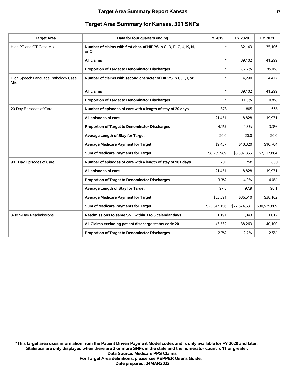| <b>Target Area Summary for Kansas, 301 SNFs</b> |  |  |
|-------------------------------------------------|--|--|
|-------------------------------------------------|--|--|

| <b>Target Area</b>                         | Data for four quarters ending                                              | FY 2019      | FY 2020      | FY 2021      |
|--------------------------------------------|----------------------------------------------------------------------------|--------------|--------------|--------------|
| High PT and OT Case Mix                    | Number of claims with first char. of HIPPS in C, D, F, G, J, K, N,<br>or O | $\ast$       | 32.143       | 35,106       |
|                                            | All claims                                                                 | $\ast$       | 39,102       | 41,299       |
|                                            | Proportion of Target to Denominator Discharges                             | $\ast$       | 82.2%        | 85.0%        |
| High Speech Language Pathology Case<br>Mix | Number of claims with second character of HIPPS in C, F, I, or L           | $\ast$       | 4,290        | 4,477        |
|                                            | All claims                                                                 | $\ast$       | 39,102       | 41,299       |
|                                            | Proportion of Target to Denominator Discharges                             |              | 11.0%        | 10.8%        |
| 20-Day Episodes of Care                    | Number of episodes of care with a length of stay of 20 days                | 873          | 805          | 665          |
|                                            | All episodes of care                                                       | 21,451       | 18,828       | 19,971       |
|                                            | Proportion of Target to Denominator Discharges                             | 4.1%         | 4.3%         | 3.3%         |
|                                            | Average Length of Stay for Target                                          | 20.0         | 20.0         | 20.0         |
|                                            | <b>Average Medicare Payment for Target</b>                                 | \$9,457      | \$10,320     | \$10,704     |
|                                            | Sum of Medicare Payments for Target                                        | \$8,255,989  | \$8,307,855  | \$7,117,864  |
| 90+ Day Episodes of Care                   | Number of episodes of care with a length of stay of 90+ days               | 701          | 758          | 800          |
|                                            | All episodes of care                                                       | 21,451       | 18,828       | 19,971       |
|                                            | Proportion of Target to Denominator Discharges                             | 3.3%         | 4.0%         | 4.0%         |
|                                            | Average Length of Stay for Target                                          | 97.8         | 97.9         | 98.1         |
|                                            | <b>Average Medicare Payment for Target</b>                                 | \$33,591     | \$36,510     | \$38,162     |
|                                            | Sum of Medicare Payments for Target                                        | \$23,547,156 | \$27,674,631 | \$30,529,809 |
| 3- to 5-Day Readmissions                   | Readmissions to same SNF within 3 to 5 calendar days                       | 1,191        | 1,043        | 1,012        |
|                                            | All Claims excluding patient discharge status code 20                      | 43,532       | 38,263       | 40,100       |
|                                            | Proportion of Target to Denominator Discharges                             | 2.7%         | 2.7%         | 2.5%         |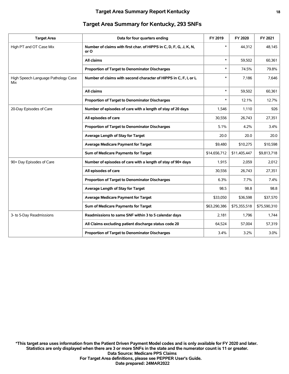| <b>Target Area</b>                         | Data for four quarters ending                                              | FY 2019      | FY 2020      | FY 2021      |
|--------------------------------------------|----------------------------------------------------------------------------|--------------|--------------|--------------|
| High PT and OT Case Mix                    | Number of claims with first char. of HIPPS in C, D, F, G, J, K, N,<br>or O | $\ast$       | 44,312       | 48,145       |
|                                            | All claims                                                                 | $\ast$       | 59,502       | 60,361       |
|                                            | Proportion of Target to Denominator Discharges                             | $\ast$       | 74.5%        | 79.8%        |
| High Speech Language Pathology Case<br>Mix | Number of claims with second character of HIPPS in C, F, I, or L           | $\ast$       | 7,186        | 7,646        |
|                                            | All claims                                                                 | $\ast$       | 59,502       | 60,361       |
|                                            | Proportion of Target to Denominator Discharges                             | $\ast$       | 12.1%        | 12.7%        |
| 20-Day Episodes of Care                    | Number of episodes of care with a length of stay of 20 days                | 1,546        | 1,110        | 926          |
|                                            | All episodes of care                                                       | 30,556       | 26.743       | 27,351       |
|                                            | <b>Proportion of Target to Denominator Discharges</b>                      | 5.1%         | 4.2%         | $3.4\%$      |
|                                            | Average Length of Stay for Target                                          | 20.0         | 20.0         | 20.0         |
|                                            | <b>Average Medicare Payment for Target</b>                                 | \$9,480      | \$10,275     | \$10,598     |
|                                            | Sum of Medicare Payments for Target                                        | \$14,656,712 | \$11,405,447 | \$9,813,718  |
| 90+ Day Episodes of Care                   | Number of episodes of care with a length of stay of 90+ days               | 1,915        | 2,059        | 2,012        |
|                                            | All episodes of care                                                       | 30,556       | 26.743       | 27,351       |
|                                            | Proportion of Target to Denominator Discharges                             | 6.3%         | 7.7%         | 7.4%         |
|                                            | Average Length of Stay for Target                                          | 98.5         | 98.8         | 98.8         |
|                                            | <b>Average Medicare Payment for Target</b>                                 | \$33,050     | \$36,598     | \$37,570     |
|                                            | Sum of Medicare Payments for Target                                        | \$63,290,386 | \$75,355,518 | \$75,590,310 |
| 3- to 5-Day Readmissions                   | Readmissions to same SNF within 3 to 5 calendar days                       | 2,181        | 1,796        | 1,744        |
|                                            | All Claims excluding patient discharge status code 20                      | 64,524       | 57,004       | 57,319       |
|                                            | <b>Proportion of Target to Denominator Discharges</b>                      | 3.4%         | $3.2\%$      | 3.0%         |
|                                            |                                                                            |              |              |              |

#### **Target Area Summary for Kentucky, 293 SNFs**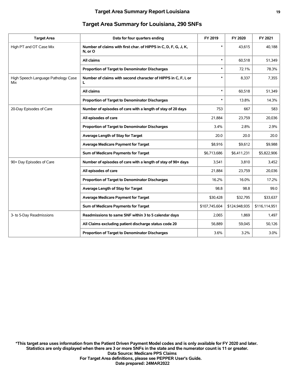| <b>Target Area</b>                         | Data for four quarters ending                                              | FY 2019       | FY 2020       | FY 2021       |
|--------------------------------------------|----------------------------------------------------------------------------|---------------|---------------|---------------|
| High PT and OT Case Mix                    | Number of claims with first char. of HIPPS in C, D, F, G, J, K,<br>N, or O | $\ast$        | 43.615        | 40,188        |
|                                            | All claims                                                                 | $\ast$        | 60,518        | 51,349        |
|                                            | Proportion of Target to Denominator Discharges                             | $\ast$        | 72.1%         | 78.3%         |
| High Speech Language Pathology Case<br>Mix | Number of claims with second character of HIPPS in C, F, I, or<br>L        | $\ast$        | 8,337         | 7,355         |
|                                            | All claims                                                                 | $\ast$        | 60,518        | 51,349        |
|                                            | Proportion of Target to Denominator Discharges                             | $\ast$        | 13.8%         | 14.3%         |
| 20-Day Episodes of Care                    | Number of episodes of care with a length of stay of 20 days                | 753           | 667           | 583           |
|                                            | All episodes of care                                                       | 21,884        | 23,759        | 20,036        |
|                                            | Proportion of Target to Denominator Discharges                             | 3.4%          | 2.8%          | 2.9%          |
|                                            | Average Length of Stay for Target                                          | 20.0          | 20.0          | 20.0          |
|                                            | <b>Average Medicare Payment for Target</b>                                 | \$8,916       | \$9,612       | \$9,988       |
|                                            | Sum of Medicare Payments for Target                                        | \$6,713,686   | \$6,411,231   | \$5,822,906   |
| 90+ Day Episodes of Care                   | Number of episodes of care with a length of stay of 90+ days               | 3,541         | 3,810         | 3,452         |
|                                            | All episodes of care                                                       | 21,884        | 23,759        | 20,036        |
|                                            | Proportion of Target to Denominator Discharges                             | 16.2%         | 16.0%         | 17.2%         |
|                                            | Average Length of Stay for Target                                          | 98.8          | 98.8          | 99.0          |
|                                            | <b>Average Medicare Payment for Target</b>                                 | \$30,428      | \$32,795      | \$33,637      |
|                                            | Sum of Medicare Payments for Target                                        | \$107,745,604 | \$124,948,935 | \$116,114,951 |
| 3- to 5-Day Readmissions                   | Readmissions to same SNF within 3 to 5 calendar days                       | 2,065         | 1,869         | 1,497         |
|                                            | All Claims excluding patient discharge status code 20                      | 56,889        | 59,045        | 50,126        |
|                                            | Proportion of Target to Denominator Discharges                             | 3.6%          | 3.2%          | 3.0%          |
|                                            |                                                                            |               |               |               |

#### **Target Area Summary for Louisiana, 290 SNFs**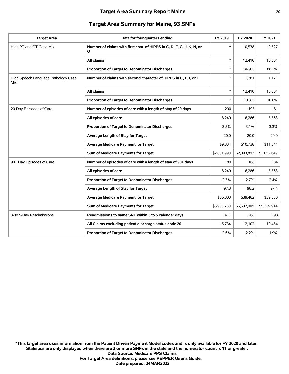#### **Target Area Summary for Maine, 93 SNFs**

| <b>Target Area</b>                         | Data for four quarters ending                                              | FY 2019     | FY 2020     | FY 2021     |
|--------------------------------------------|----------------------------------------------------------------------------|-------------|-------------|-------------|
| High PT and OT Case Mix                    | Number of claims with first char. of HIPPS in C, D, F, G, J, K, N, or<br>O | $\ast$      | 10,538      | 9,527       |
|                                            | All claims                                                                 | $\ast$      | 12,410      | 10,801      |
|                                            | Proportion of Target to Denominator Discharges                             | $\ast$      | 84.9%       | 88.2%       |
| High Speech Language Pathology Case<br>Mix | Number of claims with second character of HIPPS in C, F, I, or L           | $\ast$      | 1,281       | 1,171       |
|                                            | All claims                                                                 | $\ast$      | 12,410      | 10.801      |
|                                            | Proportion of Target to Denominator Discharges                             | $\ast$      | 10.3%       | 10.8%       |
| 20-Day Episodes of Care                    | Number of episodes of care with a length of stay of 20 days                | 290         | 195         | 181         |
|                                            | All episodes of care                                                       | 8,249       | 6,286       | 5,563       |
|                                            | Proportion of Target to Denominator Discharges                             | 3.5%        | 3.1%        | 3.3%        |
|                                            | Average Length of Stay for Target                                          | 20.0        | 20.0        | 20.0        |
|                                            | <b>Average Medicare Payment for Target</b>                                 | \$9,834     | \$10,738    | \$11,341    |
|                                            | Sum of Medicare Payments for Target                                        | \$2,851,990 | \$2,093,892 | \$2,052,649 |
| 90+ Day Episodes of Care                   | Number of episodes of care with a length of stay of 90+ days               | 189         | 168         | 134         |
|                                            | All episodes of care                                                       | 8,249       | 6,286       | 5,563       |
|                                            | Proportion of Target to Denominator Discharges                             | 2.3%        | 2.7%        | 2.4%        |
|                                            | Average Length of Stay for Target                                          | 97.8        | 98.2        | 97.4        |
|                                            | <b>Average Medicare Payment for Target</b>                                 | \$36,803    | \$39,482    | \$39,850    |
|                                            | Sum of Medicare Payments for Target                                        | \$6,955,730 | \$6,632,909 | \$5,339,914 |
| 3- to 5-Day Readmissions                   | Readmissions to same SNF within 3 to 5 calendar days                       | 411         | 268         | 198         |
|                                            | All Claims excluding patient discharge status code 20                      | 15,734      | 12,102      | 10,454      |
|                                            | Proportion of Target to Denominator Discharges                             | 2.6%        | 2.2%        | 1.9%        |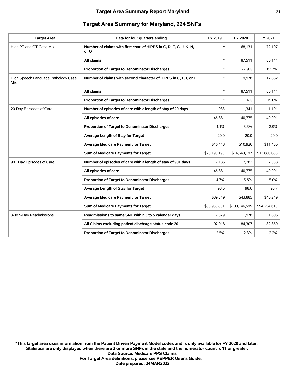#### **Target Area Summary Report Maryland 21**

| <b>Target Area</b>                         | Data for four quarters ending                                              | FY 2019      | FY 2020       | FY 2021      |
|--------------------------------------------|----------------------------------------------------------------------------|--------------|---------------|--------------|
| High PT and OT Case Mix                    | Number of claims with first char. of HIPPS in C, D, F, G, J, K, N,<br>or O | $\ast$       | 68,131        | 72,107       |
|                                            | All claims                                                                 | $\ast$       | 87,511        | 86,144       |
|                                            | Proportion of Target to Denominator Discharges                             | $\ast$       | 77.9%         | 83.7%        |
| High Speech Language Pathology Case<br>Mix | Number of claims with second character of HIPPS in C, F, I, or L           | $\ast$       | 9.978         | 12.882       |
|                                            | All claims                                                                 | $\ast$       | 87,511        | 86,144       |
|                                            | Proportion of Target to Denominator Discharges                             | $\ast$       | 11.4%         | 15.0%        |
| 20-Day Episodes of Care                    | Number of episodes of care with a length of stay of 20 days                | 1,933        | 1,341         | 1,191        |
|                                            | All episodes of care                                                       | 46,881       | 40,775        | 40,991       |
|                                            | Proportion of Target to Denominator Discharges                             | 4.1%         | 3.3%          | 2.9%         |
|                                            | Average Length of Stay for Target                                          | 20.0         | 20.0          | 20.0         |
|                                            | <b>Average Medicare Payment for Target</b>                                 | \$10,448     | \$10,920      | \$11,486     |
|                                            | Sum of Medicare Payments for Target                                        | \$20,195,193 | \$14,643,197  | \$13,680,088 |
| 90+ Day Episodes of Care                   | Number of episodes of care with a length of stay of 90+ days               | 2,186        | 2,282         | 2,038        |
|                                            | All episodes of care                                                       | 46,881       | 40,775        | 40,991       |
|                                            | Proportion of Target to Denominator Discharges                             | 4.7%         | 5.6%          | 5.0%         |
|                                            | Average Length of Stay for Target                                          | 98.6         | 98.6          | 98.7         |
|                                            | <b>Average Medicare Payment for Target</b>                                 | \$39,319     | \$43,885      | \$46,249     |
|                                            | Sum of Medicare Payments for Target                                        | \$85,950,831 | \$100,146,595 | \$94,254,613 |
| 3- to 5-Day Readmissions                   | Readmissions to same SNF within 3 to 5 calendar days                       | 2,379        | 1,978         | 1,806        |
|                                            | All Claims excluding patient discharge status code 20                      | 97,018       | 84,307        | 82,859       |
|                                            | Proportion of Target to Denominator Discharges                             | 2.5%         | 2.3%          | 2.2%         |
|                                            |                                                                            |              |               |              |

#### **Target Area Summary for Maryland, 224 SNFs**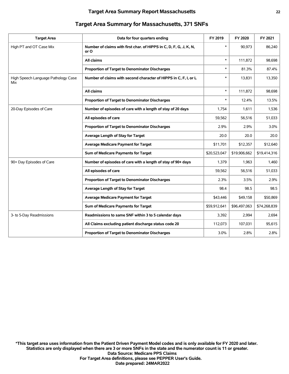| <b>Target Area</b>                         | Data for four quarters ending                                              | FY 2019      | FY 2020      | FY 2021      |
|--------------------------------------------|----------------------------------------------------------------------------|--------------|--------------|--------------|
| High PT and OT Case Mix                    | Number of claims with first char. of HIPPS in C, D, F, G, J, K, N,<br>or O | $\ast$       | 90,973       | 86,240       |
|                                            | All claims                                                                 | $\ast$       | 111,872      | 98,698       |
|                                            | Proportion of Target to Denominator Discharges                             | $\ast$       | 81.3%        | 87.4%        |
| High Speech Language Pathology Case<br>Mix | Number of claims with second character of HIPPS in C, F, I, or L           | $\ast$       | 13,831       | 13,350       |
|                                            | <b>All claims</b>                                                          | $\ast$       | 111,872      | 98,698       |
|                                            | Proportion of Target to Denominator Discharges                             | $\ast$       | 12.4%        | 13.5%        |
| 20-Day Episodes of Care                    | Number of episodes of care with a length of stay of 20 days                | 1,754        | 1,611        | 1,536        |
|                                            | All episodes of care                                                       | 59,562       | 56,516       | 51,033       |
|                                            | Proportion of Target to Denominator Discharges                             | 2.9%         | 2.9%         | 3.0%         |
|                                            | Average Length of Stay for Target                                          | 20.0         | 20.0         | 20.0         |
|                                            | <b>Average Medicare Payment for Target</b>                                 | \$11,701     | \$12,357     | \$12,640     |
|                                            | Sum of Medicare Payments for Target                                        | \$20,523,047 | \$19,906,662 | \$19,414,316 |
| 90+ Day Episodes of Care                   | Number of episodes of care with a length of stay of 90+ days               | 1,379        | 1,963        | 1,460        |
|                                            | All episodes of care                                                       | 59,562       | 56,516       | 51,033       |
|                                            | <b>Proportion of Target to Denominator Discharges</b>                      | 2.3%         | 3.5%         | 2.9%         |
|                                            | Average Length of Stay for Target                                          | 98.4         | 98.5         | 98.5         |
|                                            | <b>Average Medicare Payment for Target</b>                                 | \$43,446     | \$49,158     | \$50,869     |
|                                            | Sum of Medicare Payments for Target                                        | \$59,912,641 | \$96,497,063 | \$74,268,839 |
| 3- to 5-Day Readmissions                   | Readmissions to same SNF within 3 to 5 calendar days                       | 3,392        | 2,994        | 2,694        |
|                                            | All Claims excluding patient discharge status code 20                      | 112,073      | 107,031      | 95,615       |
|                                            | Proportion of Target to Denominator Discharges                             | 3.0%         | 2.8%         | 2.8%         |
|                                            |                                                                            |              |              |              |

#### **Target Area Summary for Massachusetts, 371 SNFs**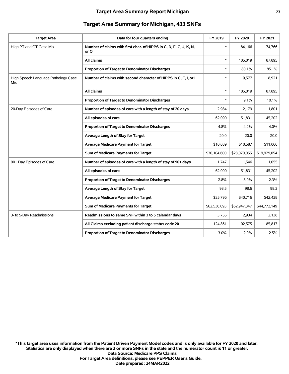| <b>Target Area</b>                         | Data for four quarters ending                                              | FY 2019      | FY 2020      | FY 2021      |
|--------------------------------------------|----------------------------------------------------------------------------|--------------|--------------|--------------|
| High PT and OT Case Mix                    | Number of claims with first char. of HIPPS in C, D, F, G, J, K, N,<br>or O | $\ast$       | 84,166       | 74,766       |
|                                            | All claims                                                                 | $\ast$       | 105,019      | 87,895       |
|                                            | Proportion of Target to Denominator Discharges                             | $\ast$       | 80.1%        | 85.1%        |
| High Speech Language Pathology Case<br>Mix | Number of claims with second character of HIPPS in C, F, I, or L           | $\ast$       | 9,577        | 8,921        |
|                                            | All claims                                                                 | $\ast$       | 105,019      | 87,895       |
|                                            | Proportion of Target to Denominator Discharges                             | $\ast$       | 9.1%         | 10.1%        |
| 20-Day Episodes of Care                    | Number of episodes of care with a length of stay of 20 days                | 2,984        | 2,179        | 1,801        |
|                                            | All episodes of care                                                       | 62,090       | 51,831       | 45,202       |
|                                            | Proportion of Target to Denominator Discharges                             | 4.8%         | 4.2%         | 4.0%         |
|                                            | Average Length of Stay for Target                                          | 20.0         | 20.0         | 20.0         |
|                                            | <b>Average Medicare Payment for Target</b>                                 | \$10,089     | \$10,587     | \$11,066     |
|                                            | Sum of Medicare Payments for Target                                        | \$30,104,600 | \$23,070,055 | \$19,929,054 |
| 90+ Day Episodes of Care                   | Number of episodes of care with a length of stay of 90+ days               | 1,747        | 1,546        | 1,055        |
|                                            | All episodes of care                                                       | 62,090       | 51,831       | 45,202       |
|                                            | <b>Proportion of Target to Denominator Discharges</b>                      | 2.8%         | 3.0%         | 2.3%         |
|                                            | Average Length of Stay for Target                                          | 98.5         | 98.6         | 98.3         |
|                                            | <b>Average Medicare Payment for Target</b>                                 | \$35,796     | \$40,716     | \$42,438     |
|                                            | Sum of Medicare Payments for Target                                        | \$62,536,093 | \$62,947,347 | \$44,772,149 |
| 3- to 5-Day Readmissions                   | Readmissions to same SNF within 3 to 5 calendar days                       | 3,755        | 2,934        | 2,138        |
|                                            | All Claims excluding patient discharge status code 20                      | 124,861      | 102,575      | 85,817       |
|                                            | <b>Proportion of Target to Denominator Discharges</b>                      | 3.0%         | 2.9%         | 2.5%         |

#### **Target Area Summary for Michigan, 433 SNFs**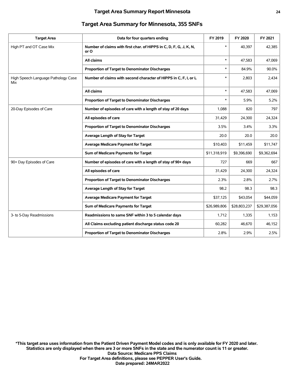| <b>Target Area</b>                         | Data for four quarters ending                                              | FY 2019      | FY 2020      | FY 2021      |
|--------------------------------------------|----------------------------------------------------------------------------|--------------|--------------|--------------|
| High PT and OT Case Mix                    | Number of claims with first char. of HIPPS in C, D, F, G, J, K, N,<br>or O | $\ast$       | 40,397       | 42,385       |
|                                            | All claims                                                                 | $\ast$       | 47,583       | 47,069       |
|                                            | Proportion of Target to Denominator Discharges                             | $\ast$       | 84.9%        | 90.0%        |
| High Speech Language Pathology Case<br>Mix | Number of claims with second character of HIPPS in C, F, I, or L           | $\ast$       | 2,803        | 2,434        |
|                                            | All claims                                                                 | $\ast$       | 47.583       | 47,069       |
|                                            | Proportion of Target to Denominator Discharges                             | $\ast$       | 5.9%         | 5.2%         |
| 20-Day Episodes of Care                    | Number of episodes of care with a length of stay of 20 days                | 1,088        | 820          | 797          |
|                                            | All episodes of care                                                       | 31,429       | 24,300       | 24,324       |
|                                            | Proportion of Target to Denominator Discharges                             | 3.5%         | 3.4%         | 3.3%         |
|                                            | Average Length of Stay for Target                                          | 20.0         | 20.0         | 20.0         |
|                                            | <b>Average Medicare Payment for Target</b>                                 | \$10,403     | \$11,459     | \$11,747     |
|                                            | Sum of Medicare Payments for Target                                        | \$11,318,919 | \$9,396,690  | \$9,362,694  |
| 90+ Day Episodes of Care                   | Number of episodes of care with a length of stay of 90+ days               | 727          | 669          | 667          |
|                                            | All episodes of care                                                       | 31,429       | 24,300       | 24,324       |
|                                            | Proportion of Target to Denominator Discharges                             | 2.3%         | 2.8%         | 2.7%         |
|                                            | Average Length of Stay for Target                                          | 98.2         | 98.3         | 98.3         |
|                                            | <b>Average Medicare Payment for Target</b>                                 | \$37,125     | \$43,054     | \$44,059     |
|                                            | Sum of Medicare Payments for Target                                        | \$26,989,806 | \$28,803,237 | \$29,387,056 |
| 3- to 5-Day Readmissions                   | Readmissions to same SNF within 3 to 5 calendar days                       | 1,712        | 1,335        | 1,153        |
|                                            | All Claims excluding patient discharge status code 20                      | 60,282       | 46,670       | 46,152       |
|                                            | Proportion of Target to Denominator Discharges                             | 2.8%         | 2.9%         | 2.5%         |
|                                            |                                                                            |              |              |              |

#### **Target Area Summary for Minnesota, 355 SNFs**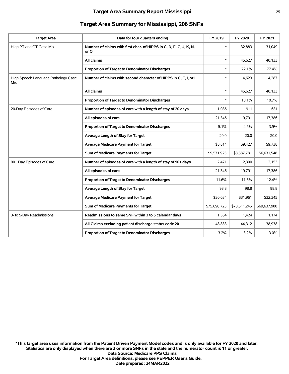| <b>Target Area</b>                         | Data for four quarters ending                                              | FY 2019      | FY 2020      | FY 2021      |
|--------------------------------------------|----------------------------------------------------------------------------|--------------|--------------|--------------|
| High PT and OT Case Mix                    | Number of claims with first char. of HIPPS in C, D, F, G, J, K, N,<br>or O | $\ast$       | 32,883       | 31,049       |
|                                            | All claims                                                                 | $\ast$       | 45.627       | 40,133       |
|                                            | Proportion of Target to Denominator Discharges                             | $\ast$       | 72.1%        | 77.4%        |
| High Speech Language Pathology Case<br>Mix | Number of claims with second character of HIPPS in C, F, I, or L           | $\ast$       | 4,623        | 4,287        |
|                                            | All claims                                                                 | $\ast$       | 45,627       | 40,133       |
|                                            | Proportion of Target to Denominator Discharges                             | $\ast$       | 10.1%        | 10.7%        |
| 20-Day Episodes of Care                    | Number of episodes of care with a length of stay of 20 days                | 1,086        | 911          | 681          |
|                                            | All episodes of care                                                       | 21,346       | 19,791       | 17,386       |
|                                            | <b>Proportion of Target to Denominator Discharges</b>                      | 5.1%         | 4.6%         | 3.9%         |
|                                            | Average Length of Stay for Target                                          | 20.0         | 20.0         | 20.0         |
|                                            | <b>Average Medicare Payment for Target</b>                                 | \$8,814      | \$9,427      | \$9,738      |
|                                            | Sum of Medicare Payments for Target                                        | \$9,571,925  | \$8,587,781  | \$6,631,548  |
| 90+ Day Episodes of Care                   | Number of episodes of care with a length of stay of 90+ days               | 2,471        | 2,300        | 2,153        |
|                                            | All episodes of care                                                       | 21,346       | 19.791       | 17,386       |
|                                            | Proportion of Target to Denominator Discharges                             | 11.6%        | 11.6%        | 12.4%        |
|                                            | Average Length of Stay for Target                                          | 98.8         | 98.8         | 98.8         |
|                                            | <b>Average Medicare Payment for Target</b>                                 | \$30,634     | \$31,961     | \$32,345     |
|                                            | Sum of Medicare Payments for Target                                        | \$75,696,723 | \$73,511,245 | \$69,637,980 |
| 3- to 5-Day Readmissions                   | Readmissions to same SNF within 3 to 5 calendar days                       | 1,564        | 1,424        | 1,174        |
|                                            | All Claims excluding patient discharge status code 20                      | 48,833       | 44,312       | 38,938       |
|                                            | Proportion of Target to Denominator Discharges                             | 3.2%         | 3.2%         | 3.0%         |
|                                            |                                                                            |              |              |              |

#### **Target Area Summary for Mississippi, 206 SNFs**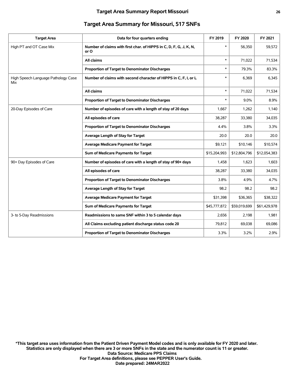|  | <b>Target Area Summary for Missouri, 517 SNFs</b> |
|--|---------------------------------------------------|
|--|---------------------------------------------------|

| <b>Target Area</b>                         | Data for four quarters ending                                              | FY 2019      | FY 2020      | FY 2021      |
|--------------------------------------------|----------------------------------------------------------------------------|--------------|--------------|--------------|
| High PT and OT Case Mix                    | Number of claims with first char. of HIPPS in C, D, F, G, J, K, N,<br>or O | $\ast$       | 56,350       | 59,572       |
|                                            | All claims                                                                 | $\ast$       | 71,022       | 71,534       |
|                                            | Proportion of Target to Denominator Discharges                             | $\ast$       | 79.3%        | 83.3%        |
| High Speech Language Pathology Case<br>Mix | Number of claims with second character of HIPPS in C, F, I, or L           | *            | 6,369        | 6,345        |
|                                            | All claims                                                                 | $\ast$       | 71,022       | 71,534       |
|                                            | Proportion of Target to Denominator Discharges                             | $\ast$       | 9.0%         | 8.9%         |
| 20-Day Episodes of Care                    | Number of episodes of care with a length of stay of 20 days                | 1,667        | 1,262        | 1,140        |
|                                            | All episodes of care                                                       | 38,287       | 33,380       | 34,035       |
|                                            | Proportion of Target to Denominator Discharges                             | 4.4%         | 3.8%         | 3.3%         |
|                                            | Average Length of Stay for Target                                          | 20.0         | 20.0         | 20.0         |
|                                            | <b>Average Medicare Payment for Target</b>                                 | \$9,121      | \$10,146     | \$10,574     |
|                                            | Sum of Medicare Payments for Target                                        | \$15,204,993 | \$12,804,796 | \$12,054,383 |
| 90+ Day Episodes of Care                   | Number of episodes of care with a length of stay of 90+ days               | 1,458        | 1,623        | 1,603        |
|                                            | All episodes of care                                                       | 38,287       | 33,380       | 34,035       |
|                                            | Proportion of Target to Denominator Discharges                             | 3.8%         | 4.9%         | 4.7%         |
|                                            | Average Length of Stay for Target                                          | 98.2         | 98.2         | 98.2         |
|                                            | <b>Average Medicare Payment for Target</b>                                 | \$31,398     | \$36,365     | \$38,322     |
|                                            | Sum of Medicare Payments for Target                                        | \$45,777,872 | \$59,019,699 | \$61,429,978 |
| 3- to 5-Day Readmissions                   | Readmissions to same SNF within 3 to 5 calendar days                       | 2,656        | 2,198        | 1,981        |
|                                            | All Claims excluding patient discharge status code 20                      | 79,812       | 69,038       | 69,086       |
|                                            | Proportion of Target to Denominator Discharges                             | 3.3%         | 3.2%         | 2.9%         |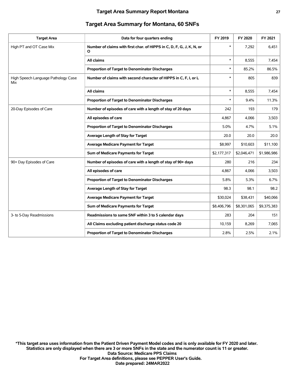| <b>Target Area Summary for Montana, 60 SNFs</b> |  |  |
|-------------------------------------------------|--|--|
|-------------------------------------------------|--|--|

| <b>Target Area</b>                         | Data for four quarters ending                                              | FY 2019     | FY 2020     | FY 2021     |
|--------------------------------------------|----------------------------------------------------------------------------|-------------|-------------|-------------|
| High PT and OT Case Mix                    | Number of claims with first char. of HIPPS in C, D, F, G, J, K, N, or<br>O | $\ast$      | 7,292       | 6,451       |
|                                            | All claims                                                                 | $\ast$      | 8,555       | 7,454       |
|                                            | Proportion of Target to Denominator Discharges                             | $\ast$      | 85.2%       | 86.5%       |
| High Speech Language Pathology Case<br>Mix | Number of claims with second character of HIPPS in C, F, I, or L           | $\ast$      | 805         | 839         |
|                                            | All claims                                                                 | $\ast$      | 8,555       | 7,454       |
|                                            | Proportion of Target to Denominator Discharges                             | $\ast$      | 9.4%        | 11.3%       |
| 20-Day Episodes of Care                    | Number of episodes of care with a length of stay of 20 days                | 242         | 193         | 179         |
|                                            | All episodes of care                                                       | 4.867       | 4,066       | 3,503       |
|                                            | Proportion of Target to Denominator Discharges                             | 5.0%        | 4.7%        | 5.1%        |
|                                            | Average Length of Stay for Target                                          | 20.0        | 20.0        | 20.0        |
|                                            | <b>Average Medicare Payment for Target</b>                                 | \$8,997     | \$10,603    | \$11,100    |
|                                            | Sum of Medicare Payments for Target                                        | \$2,177,317 | \$2,046,471 | \$1,986,986 |
| 90+ Day Episodes of Care                   | Number of episodes of care with a length of stay of 90+ days               | 280         | 216         | 234         |
|                                            | All episodes of care                                                       | 4,867       | 4,066       | 3,503       |
|                                            | Proportion of Target to Denominator Discharges                             | 5.8%        | 5.3%        | 6.7%        |
|                                            | Average Length of Stay for Target                                          | 98.3        | 98.1        | 98.2        |
|                                            | <b>Average Medicare Payment for Target</b>                                 | \$30,024    | \$38,431    | \$40,066    |
|                                            | Sum of Medicare Payments for Target                                        | \$8,406,796 | \$8,301,065 | \$9,375,383 |
| 3- to 5-Day Readmissions                   | Readmissions to same SNF within 3 to 5 calendar days                       | 283         | 204         | 151         |
|                                            | All Claims excluding patient discharge status code 20                      | 10,159      | 8,269       | 7,065       |
|                                            | Proportion of Target to Denominator Discharges                             | 2.8%        | 2.5%        | 2.1%        |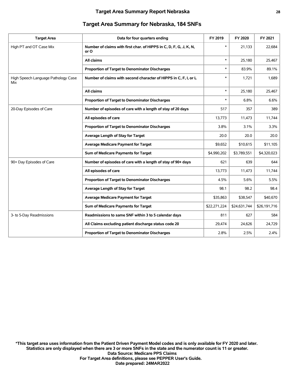| <b>Target Area</b>                         | Data for four quarters ending                                              | FY 2019      | FY 2020      | FY 2021      |
|--------------------------------------------|----------------------------------------------------------------------------|--------------|--------------|--------------|
| High PT and OT Case Mix                    | Number of claims with first char. of HIPPS in C, D, F, G, J, K, N,<br>or O | $\ast$       | 21,133       | 22,684       |
|                                            | All claims                                                                 | $\ast$       | 25,180       | 25,467       |
|                                            | Proportion of Target to Denominator Discharges                             | $\ast$       | 83.9%        | 89.1%        |
| High Speech Language Pathology Case<br>Mix | Number of claims with second character of HIPPS in C, F, I, or L           | $\ast$       | 1,721        | 1,689        |
|                                            | All claims                                                                 | $\ast$       | 25,180       | 25,467       |
|                                            | Proportion of Target to Denominator Discharges                             | $\ast$       | 6.8%         | 6.6%         |
| 20-Day Episodes of Care                    | Number of episodes of care with a length of stay of 20 days                | 517          | 357          | 389          |
|                                            | All episodes of care                                                       | 13,773       | 11,473       | 11,744       |
|                                            | Proportion of Target to Denominator Discharges                             | 3.8%         | 3.1%         | 3.3%         |
|                                            | Average Length of Stay for Target                                          | 20.0         | 20.0         | 20.0         |
|                                            | <b>Average Medicare Payment for Target</b>                                 | \$9,652      | \$10,615     | \$11,105     |
|                                            | Sum of Medicare Payments for Target                                        | \$4,990,202  | \$3,789,551  | \$4,320,023  |
| 90+ Day Episodes of Care                   | Number of episodes of care with a length of stay of 90+ days               | 621          | 639          | 644          |
|                                            | All episodes of care                                                       | 13,773       | 11,473       | 11,744       |
|                                            | Proportion of Target to Denominator Discharges                             | 4.5%         | 5.6%         | 5.5%         |
|                                            | Average Length of Stay for Target                                          | 98.1         | 98.2         | 98.4         |
|                                            | <b>Average Medicare Payment for Target</b>                                 | \$35,863     | \$38,547     | \$40,670     |
|                                            | Sum of Medicare Payments for Target                                        | \$22,271,224 | \$24,631,744 | \$26,191,716 |
| 3- to 5-Day Readmissions                   | Readmissions to same SNF within 3 to 5 calendar days                       | 811          | 627          | 584          |
|                                            | All Claims excluding patient discharge status code 20                      | 29,474       | 24,626       | 24,729       |
|                                            | <b>Proportion of Target to Denominator Discharges</b>                      | 2.8%         | 2.5%         | 2.4%         |
|                                            |                                                                            |              |              |              |

#### **Target Area Summary for Nebraska, 184 SNFs**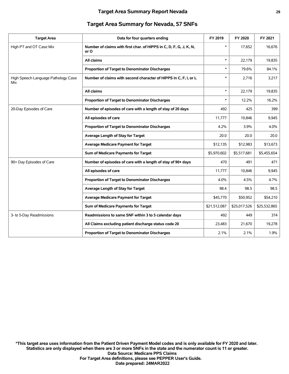#### **Target Area Summary Report Nevada 29**

#### **Target Area Summary for Nevada, 57 SNFs**

| <b>Target Area</b>                         | Data for four quarters ending                                              | FY 2019      | FY 2020      | FY 2021      |
|--------------------------------------------|----------------------------------------------------------------------------|--------------|--------------|--------------|
| High PT and OT Case Mix                    | Number of claims with first char. of HIPPS in C, D, F, G, J, K, N,<br>or O | $\ast$       | 17,652       | 16,676       |
|                                            | All claims                                                                 | $\ast$       | 22,179       | 19,835       |
|                                            | Proportion of Target to Denominator Discharges                             | $\ast$       | 79.6%        | 84.1%        |
| High Speech Language Pathology Case<br>Mix | Number of claims with second character of HIPPS in C, F, I, or L           | *            | 2,716        | 3,217        |
|                                            | All claims                                                                 | $\ast$       | 22,179       | 19,835       |
|                                            | Proportion of Target to Denominator Discharges                             | $\ast$       | 12.2%        | 16.2%        |
| 20-Day Episodes of Care                    | Number of episodes of care with a length of stay of 20 days                | 492          | 425          | 399          |
|                                            | All episodes of care                                                       | 11,777       | 10,846       | 9,945        |
|                                            | Proportion of Target to Denominator Discharges                             | 4.2%         | 3.9%         | 4.0%         |
|                                            | Average Length of Stay for Target                                          | 20.0         | 20.0         | 20.0         |
|                                            | <b>Average Medicare Payment for Target</b>                                 | \$12,135     | \$12,983     | \$13,673     |
|                                            | Sum of Medicare Payments for Target                                        | \$5,970,602  | \$5,517,681  | \$5,455,654  |
| 90+ Day Episodes of Care                   | Number of episodes of care with a length of stay of 90+ days               | 470          | 491          | 471          |
|                                            | All episodes of care                                                       | 11,777       | 10,846       | 9,945        |
|                                            | Proportion of Target to Denominator Discharges                             | 4.0%         | 4.5%         | 4.7%         |
|                                            | Average Length of Stay for Target                                          | 98.4         | 98.5         | 98.5         |
|                                            | <b>Average Medicare Payment for Target</b>                                 | \$45,770     | \$50,952     | \$54,210     |
|                                            | Sum of Medicare Payments for Target                                        | \$21,512,087 | \$25,017,526 | \$25,532,865 |
| 3- to 5-Day Readmissions                   | Readmissions to same SNF within 3 to 5 calendar days                       | 492          | 449          | 374          |
|                                            | All Claims excluding patient discharge status code 20                      | 23,483       | 21,670       | 19,278       |
|                                            | Proportion of Target to Denominator Discharges                             | 2.1%         | 2.1%         | 1.9%         |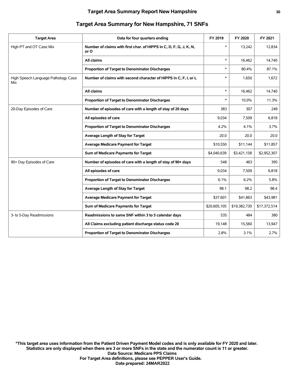| <b>Target Area</b>                         | Data for four quarters ending                                              | FY 2019      | FY 2020      | FY 2021      |
|--------------------------------------------|----------------------------------------------------------------------------|--------------|--------------|--------------|
| High PT and OT Case Mix                    | Number of claims with first char. of HIPPS in C, D, F, G, J, K, N,<br>or O | $\ast$       | 13,242       | 12,834       |
|                                            | All claims                                                                 | $\ast$       | 16,462       | 14,740       |
|                                            | Proportion of Target to Denominator Discharges                             | $\ast$       | 80.4%        | 87.1%        |
| High Speech Language Pathology Case<br>Mix | Number of claims with second character of HIPPS in C, F, I, or L           | $\ast$       | 1,650        | 1,672        |
|                                            | All claims                                                                 | $\ast$       | 16,462       | 14,740       |
|                                            | Proportion of Target to Denominator Discharges                             | $\ast$       | 10.0%        | 11.3%        |
| 20-Day Episodes of Care                    | Number of episodes of care with a length of stay of 20 days                | 383          | 307          | 249          |
|                                            | All episodes of care                                                       | 9,034        | 7,509        | 6,818        |
|                                            | Proportion of Target to Denominator Discharges                             | 4.2%         | 4.1%         | 3.7%         |
|                                            | Average Length of Stay for Target                                          | 20.0         | 20.0         | 20.0         |
|                                            | <b>Average Medicare Payment for Target</b>                                 | \$10,550     | \$11,144     | \$11,857     |
|                                            | Sum of Medicare Payments for Target                                        | \$4,040,639  | \$3,421,158  | \$2,952,307  |
| 90+ Day Episodes of Care                   | Number of episodes of care with a length of stay of 90+ days               | 548          | 463          | 395          |
|                                            | All episodes of care                                                       | 9,034        | 7,509        | 6,818        |
|                                            | <b>Proportion of Target to Denominator Discharges</b>                      | 6.1%         | 6.2%         | 5.8%         |
|                                            | Average Length of Stay for Target                                          | 98.1         | 98.2         | 98.4         |
|                                            | <b>Average Medicare Payment for Target</b>                                 | \$37,601     | \$41,863     | \$43,981     |
|                                            | Sum of Medicare Payments for Target                                        | \$20,605,105 | \$19,382,730 | \$17,372,514 |
| 3- to 5-Day Readmissions                   | Readmissions to same SNF within 3 to 5 calendar days                       | 535          | 484          | 380          |
|                                            | All Claims excluding patient discharge status code 20                      | 19,148       | 15,560       | 13,947       |
|                                            | Proportion of Target to Denominator Discharges                             | 2.8%         | 3.1%         | 2.7%         |
|                                            |                                                                            |              |              |              |

#### **Target Area Summary for New Hampshire, 71 SNFs**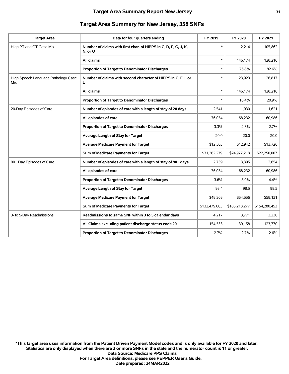| <b>Target Area</b>                         | Data for four quarters ending                                              | FY 2019       | FY 2020       | FY 2021       |
|--------------------------------------------|----------------------------------------------------------------------------|---------------|---------------|---------------|
| High PT and OT Case Mix                    | Number of claims with first char. of HIPPS in C, D, F, G, J, K,<br>N, or O | $\ast$        | 112,214       | 105,862       |
|                                            | All claims                                                                 | $\ast$        | 146,174       | 128,216       |
|                                            | Proportion of Target to Denominator Discharges                             | *             | 76.8%         | 82.6%         |
| High Speech Language Pathology Case<br>Mix | Number of claims with second character of HIPPS in C, F, I, or<br>L        | *             | 23,923        | 26,817        |
|                                            | All claims                                                                 | $\ast$        | 146.174       | 128,216       |
|                                            | Proportion of Target to Denominator Discharges                             | $\ast$        | 16.4%         | 20.9%         |
| 20-Day Episodes of Care                    | Number of episodes of care with a length of stay of 20 days                | 2,541         | 1,930         | 1,621         |
|                                            | All episodes of care                                                       | 76,054        | 68,232        | 60,986        |
|                                            | Proportion of Target to Denominator Discharges                             | 3.3%          | 2.8%          | 2.7%          |
|                                            | Average Length of Stay for Target                                          | 20.0          | 20.0          | 20.0          |
|                                            | <b>Average Medicare Payment for Target</b>                                 | \$12,303      | \$12,942      | \$13,726      |
|                                            | Sum of Medicare Payments for Target                                        | \$31,262,279  | \$24,977,218  | \$22,250,007  |
| 90+ Day Episodes of Care                   | Number of episodes of care with a length of stay of 90+ days               | 2,739         | 3,395         | 2,654         |
|                                            | All episodes of care                                                       | 76.054        | 68,232        | 60,986        |
|                                            | Proportion of Target to Denominator Discharges                             | 3.6%          | 5.0%          | 4.4%          |
|                                            | Average Length of Stay for Target                                          | 98.4          | 98.5          | 98.5          |
|                                            | <b>Average Medicare Payment for Target</b>                                 | \$48,368      | \$54,556      | \$58,131      |
|                                            | Sum of Medicare Payments for Target                                        | \$132,479,063 | \$185,218,277 | \$154,280,453 |
| 3- to 5-Day Readmissions                   | Readmissions to same SNF within 3 to 5 calendar days                       | 4,217         | 3,771         | 3,230         |
|                                            | All Claims excluding patient discharge status code 20                      | 154,533       | 139,158       | 123,770       |
|                                            | <b>Proportion of Target to Denominator Discharges</b>                      | 2.7%          | 2.7%          | 2.6%          |
|                                            |                                                                            |               |               |               |

#### **Target Area Summary for New Jersey, 358 SNFs**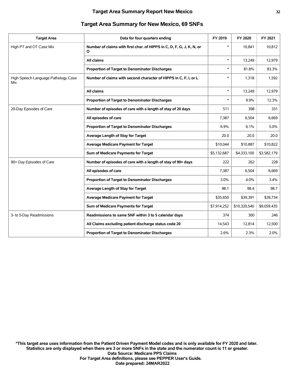| <b>Target Area</b>                         | Data for four quarters ending                                              | FY 2019     | FY 2020      | FY 2021     |
|--------------------------------------------|----------------------------------------------------------------------------|-------------|--------------|-------------|
| High PT and OT Case Mix                    | Number of claims with first char. of HIPPS in C, D, F, G, J, K, N, or<br>О | $\ast$      | 10,841       | 10,812      |
|                                            | All claims                                                                 | $\ast$      | 13,249       | 12,979      |
|                                            | Proportion of Target to Denominator Discharges                             | *           | 81.8%        | 83.3%       |
| High Speech Language Pathology Case<br>Mix | Number of claims with second character of HIPPS in C, F, I, or L           | $\ast$      | 1,318        | 1,592       |
|                                            | All claims                                                                 | $\ast$      | 13,249       | 12,979      |
|                                            | Proportion of Target to Denominator Discharges                             | $\ast$      | 9.9%         | 12.3%       |
| 20-Day Episodes of Care                    | Number of episodes of care with a length of stay of 20 days                | 511         | 398          | 331         |
|                                            | All episodes of care                                                       | 7,387       | 6,504        | 6,669       |
|                                            | Proportion of Target to Denominator Discharges                             | 6.9%        | 6.1%         | 5.0%        |
|                                            | Average Length of Stay for Target                                          | 20.0        | 20.0         | 20.0        |
|                                            | <b>Average Medicare Payment for Target</b>                                 | \$10,044    | \$10,887     | \$10,822    |
|                                            | Sum of Medicare Payments for Target                                        | \$5,132,687 | \$4,333,100  | \$3,582,179 |
| 90+ Day Episodes of Care                   | Number of episodes of care with a length of stay of 90+ days               | 222         | 262          | 228         |
|                                            | All episodes of care                                                       | 7,387       | 6,504        | 6,669       |
|                                            | Proportion of Target to Denominator Discharges                             | 3.0%        | 4.0%         | 3.4%        |
|                                            | Average Length of Stay for Target                                          | 98.1        | 98.4         | 98.7        |
|                                            | <b>Average Medicare Payment for Target</b>                                 | \$35,650    | \$39,391     | \$39,734    |
|                                            | Sum of Medicare Payments for Target                                        | \$7,914,252 | \$10,320,540 | \$9,059,435 |
| 3- to 5-Day Readmissions                   | Readmissions to same SNF within 3 to 5 calendar days                       | 374         | 300          | 246         |
|                                            | All Claims excluding patient discharge status code 20                      | 14,543      | 12,814       | 12,500      |
|                                            | Proportion of Target to Denominator Discharges                             | 2.6%        | 2.3%         | 2.0%        |
|                                            |                                                                            |             |              |             |

#### **Target Area Summary for New Mexico, 69 SNFs**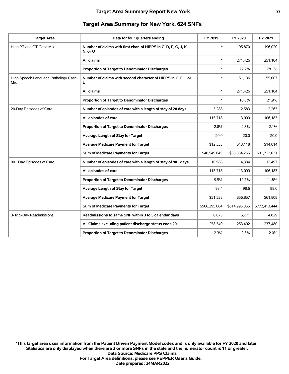| <b>Target Area</b>                         | Data for four quarters ending                                              | FY 2019       | FY 2020       | FY 2021       |
|--------------------------------------------|----------------------------------------------------------------------------|---------------|---------------|---------------|
| High PT and OT Case Mix                    | Number of claims with first char. of HIPPS in C, D, F, G, J, K,<br>N, or O | $\ast$        | 195,870       | 196,020       |
|                                            | All claims                                                                 | $\ast$        | 271,426       | 251,104       |
|                                            | <b>Proportion of Target to Denominator Discharges</b>                      | $\ast$        | 72.2%         | 78.1%         |
| High Speech Language Pathology Case<br>Mix | Number of claims with second character of HIPPS in C, F, I, or<br>L        | *             | 51,136        | 55,007        |
|                                            | All claims                                                                 | $\ast$        | 271,426       | 251,104       |
|                                            | Proportion of Target to Denominator Discharges                             | $\ast$        | 18.8%         | 21.9%         |
| 20-Day Episodes of Care                    | Number of episodes of care with a length of stay of 20 days                | 3,288         | 2,583         | 2,263         |
|                                            | All episodes of care                                                       | 115,718       | 113,099       | 106,183       |
|                                            | Proportion of Target to Denominator Discharges                             | 2.8%          | 2.3%          | 2.1%          |
|                                            | Average Length of Stay for Target                                          | 20.0          | 20.0          | 20.0          |
|                                            | <b>Average Medicare Payment for Target</b>                                 | \$12,333      | \$13,118      | \$14,014      |
|                                            | Sum of Medicare Payments for Target                                        | \$40,549,645  | \$33,884,255  | \$31,712,621  |
| 90+ Day Episodes of Care                   | Number of episodes of care with a length of stay of 90+ days               | 10,988        | 14,334        | 12,497        |
|                                            | All episodes of care                                                       | 115,718       | 113,099       | 106.183       |
|                                            | Proportion of Target to Denominator Discharges                             | 9.5%          | 12.7%         | 11.8%         |
|                                            | Average Length of Stay for Target                                          | 98.4          | 98.6          | 98.6          |
|                                            | <b>Average Medicare Payment for Target</b>                                 | \$51,538      | \$56,857      | \$61,808      |
|                                            | Sum of Medicare Payments for Target                                        | \$566,295,084 | \$814,995,055 | \$772,413,444 |
| 3- to 5-Day Readmissions                   | Readmissions to same SNF within 3 to 5 calendar days                       | 6,073         | 5,771         | 4,829         |
|                                            | All Claims excluding patient discharge status code 20                      | 258,549       | 253,492       | 237,480       |
|                                            | Proportion of Target to Denominator Discharges                             | 2.3%          | 2.3%          | 2.0%          |
|                                            |                                                                            |               |               |               |

#### **Target Area Summary for New York, 624 SNFs**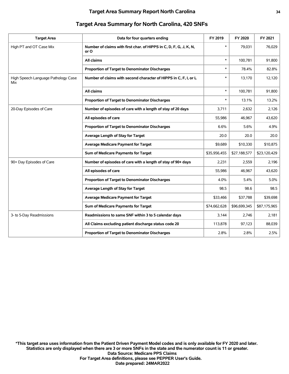|                                                                  |                                                                                                     |                   | FY 2021           |
|------------------------------------------------------------------|-----------------------------------------------------------------------------------------------------|-------------------|-------------------|
|                                                                  |                                                                                                     |                   |                   |
| or O                                                             |                                                                                                     |                   | 76,029            |
| All claims                                                       | $\ast$                                                                                              | 100,781           | 91,800            |
| Proportion of Target to Denominator Discharges                   | $\ast$                                                                                              | 78.4%             | 82.8%             |
| Number of claims with second character of HIPPS in C, F, I, or L | $\ast$                                                                                              | 13,170            | 12,120            |
| All claims                                                       | $\ast$                                                                                              | 100,781           | 91,800            |
| Proportion of Target to Denominator Discharges                   | $\ast$                                                                                              | 13.1%             | 13.2%             |
| Number of episodes of care with a length of stay of 20 days      | 3,711                                                                                               | 2,632             | 2,126             |
| All episodes of care                                             | 55,986                                                                                              | 46,967            | 43,620            |
| Proportion of Target to Denominator Discharges                   | 6.6%                                                                                                | 5.6%              | 4.9%              |
| Average Length of Stay for Target                                | 20.0                                                                                                | 20.0              | 20.0              |
| <b>Average Medicare Payment for Target</b>                       | \$9,689                                                                                             | \$10,330          | \$10,875          |
| Sum of Medicare Payments for Target                              | \$35,956,455                                                                                        | \$27,188,577      | \$23,120,429      |
| Number of episodes of care with a length of stay of 90+ days     | 2,231                                                                                               | 2,559             | 2,196             |
| All episodes of care                                             | 55,986                                                                                              | 46,967            | 43,620            |
| Proportion of Target to Denominator Discharges                   | 4.0%                                                                                                | 5.4%              | 5.0%              |
| Average Length of Stay for Target                                | 98.5                                                                                                | 98.6              | 98.5              |
| <b>Average Medicare Payment for Target</b>                       | \$33,466                                                                                            | \$37,788          | \$39,698          |
| Sum of Medicare Payments for Target                              | \$74,662,628                                                                                        | \$96,699,345      | \$87,175,965      |
| Readmissions to same SNF within 3 to 5 calendar days             | 3.144                                                                                               | 2,746             | 2,181             |
| All Claims excluding patient discharge status code 20            | 113,878                                                                                             | 97,123            | 88,039            |
| Proportion of Target to Denominator Discharges                   | 2.8%                                                                                                | 2.8%              | 2.5%              |
|                                                                  | Data for four quarters ending<br>Number of claims with first char. of HIPPS in C, D, F, G, J, K, N, | FY 2019<br>$\ast$ | FY 2020<br>79,031 |

#### **Target Area Summary for North Carolina, 420 SNFs**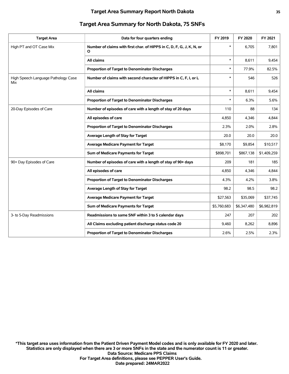| <b>Target Area</b>                         | Data for four quarters ending                                              | FY 2019     | FY 2020     | FY 2021     |
|--------------------------------------------|----------------------------------------------------------------------------|-------------|-------------|-------------|
| High PT and OT Case Mix                    | Number of claims with first char. of HIPPS in C, D, F, G, J, K, N, or<br>O | $\ast$      | 6.705       | 7,801       |
|                                            | All claims                                                                 | $\ast$      | 8,611       | 9,454       |
|                                            | Proportion of Target to Denominator Discharges                             | $\ast$      | 77.9%       | 82.5%       |
| High Speech Language Pathology Case<br>Mix | Number of claims with second character of HIPPS in C, F, I, or L           | $\ast$      | 546         | 526         |
|                                            | <b>All claims</b>                                                          | $\ast$      | 8,611       | 9,454       |
|                                            | Proportion of Target to Denominator Discharges                             | $\ast$      | 6.3%        | 5.6%        |
| 20-Day Episodes of Care                    | Number of episodes of care with a length of stay of 20 days                | 110         | 88          | 134         |
|                                            | All episodes of care                                                       | 4,850       | 4,346       | 4,844       |
|                                            | Proportion of Target to Denominator Discharges                             | 2.3%        | 2.0%        | 2.8%        |
|                                            | Average Length of Stay for Target                                          | 20.0        | 20.0        | 20.0        |
|                                            | <b>Average Medicare Payment for Target</b>                                 | \$8,170     | \$9,854     | \$10,517    |
|                                            | Sum of Medicare Payments for Target                                        | \$898,701   | \$867,138   | \$1,409,259 |
| 90+ Day Episodes of Care                   | Number of episodes of care with a length of stay of 90+ days               | 209         | 181         | 185         |
|                                            | All episodes of care                                                       | 4,850       | 4,346       | 4,844       |
|                                            | Proportion of Target to Denominator Discharges                             | 4.3%        | 4.2%        | 3.8%        |
|                                            | Average Length of Stay for Target                                          | 98.2        | 98.5        | 98.2        |
|                                            | <b>Average Medicare Payment for Target</b>                                 | \$27,563    | \$35,069    | \$37,745    |
|                                            | Sum of Medicare Payments for Target                                        | \$5,760,683 | \$6,347,480 | \$6,982,819 |
| 3- to 5-Day Readmissions                   | Readmissions to same SNF within 3 to 5 calendar days                       | 247         | 207         | 202         |
|                                            | All Claims excluding patient discharge status code 20                      | 9,460       | 8,262       | 8,896       |
|                                            | Proportion of Target to Denominator Discharges                             | 2.6%        | 2.5%        | 2.3%        |
|                                            |                                                                            |             |             |             |

#### **Target Area Summary for North Dakota, 75 SNFs**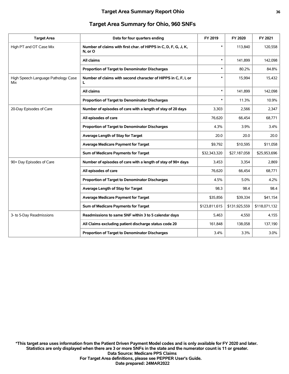#### **Target Area Summary Report Ohio 36**

#### **Target Area Summary for Ohio, 960 SNFs**

| <b>Target Area</b>                         | Data for four quarters ending                                              | FY 2019       | FY 2020       | FY 2021       |
|--------------------------------------------|----------------------------------------------------------------------------|---------------|---------------|---------------|
| High PT and OT Case Mix                    | Number of claims with first char. of HIPPS in C, D, F, G, J, K,<br>N, or O | $\ast$        | 113,840       | 120,558       |
|                                            | All claims                                                                 | $\ast$        | 141,899       | 142,098       |
|                                            | Proportion of Target to Denominator Discharges                             | $\ast$        | 80.2%         | 84.8%         |
| High Speech Language Pathology Case<br>Mix | Number of claims with second character of HIPPS in C, F, I, or<br>L        | $\ast$        | 15,994        | 15,432        |
|                                            | All claims                                                                 | $\ast$        | 141,899       | 142,098       |
|                                            | Proportion of Target to Denominator Discharges                             |               | 11.3%         | 10.9%         |
| 20-Day Episodes of Care                    | Number of episodes of care with a length of stay of 20 days                | 3,303         | 2,566         | 2,347         |
|                                            | All episodes of care                                                       | 76,620        | 66,454        | 68,771        |
|                                            | Proportion of Target to Denominator Discharges                             | 4.3%          | 3.9%          | 3.4%          |
|                                            | Average Length of Stay for Target                                          | 20.0          | 20.0          | 20.0          |
|                                            | Average Medicare Payment for Target                                        | \$9,792       | \$10,595      | \$11,058      |
|                                            | Sum of Medicare Payments for Target                                        | \$32,343,320  | \$27,187,058  | \$25,953,696  |
| 90+ Day Episodes of Care                   | Number of episodes of care with a length of stay of 90+ days               | 3,453         | 3,354         | 2,869         |
|                                            | All episodes of care                                                       | 76,620        | 66,454        | 68,771        |
|                                            | <b>Proportion of Target to Denominator Discharges</b>                      | 4.5%          | 5.0%          | 4.2%          |
|                                            | Average Length of Stay for Target                                          | 98.3          | 98.4          | 98.4          |
|                                            | <b>Average Medicare Payment for Target</b>                                 | \$35,856      | \$39,334      | \$41,154      |
|                                            | Sum of Medicare Payments for Target                                        | \$123,811,615 | \$131,925,559 | \$118,071,132 |
| 3- to 5-Day Readmissions                   | Readmissions to same SNF within 3 to 5 calendar days                       | 5,463         | 4,550         | 4,155         |
|                                            | All Claims excluding patient discharge status code 20                      | 161,848       | 138,058       | 137,190       |
|                                            | Proportion of Target to Denominator Discharges                             | 3.4%          | 3.3%          | 3.0%          |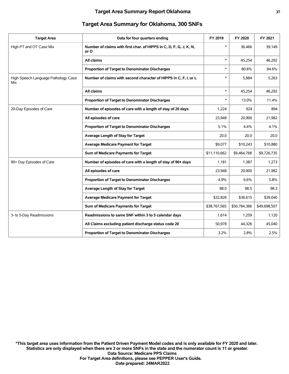| <b>Target Area</b>                         | Data for four quarters ending                                              | FY 2019      | FY 2020      | FY 2021      |
|--------------------------------------------|----------------------------------------------------------------------------|--------------|--------------|--------------|
| High PT and OT Case Mix                    | Number of claims with first char. of HIPPS in C, D, F, G, J, K, N,<br>or O | $\ast$       | 36,466       | 39,149       |
|                                            | All claims                                                                 | $\ast$       | 45,254       | 46,292       |
|                                            | Proportion of Target to Denominator Discharges                             | $\ast$       | 80.6%        | 84.6%        |
| High Speech Language Pathology Case<br>Mix | Number of claims with second character of HIPPS in C, F, I, or L           | $\ast$       | 5,884        | 5,263        |
|                                            | All claims                                                                 | $\ast$       | 45,254       | 46,292       |
|                                            | Proportion of Target to Denominator Discharges                             | $\ast$       | 13.0%        | 11.4%        |
| 20-Day Episodes of Care                    | Number of episodes of care with a length of stay of 20 days                | 1,224        | 924          | 894          |
|                                            | All episodes of care                                                       | 23,948       | 20,900       | 21,982       |
|                                            | Proportion of Target to Denominator Discharges                             | 5.1%         | 4.4%         | 4.1%         |
|                                            | Average Length of Stay for Target                                          | 20.0         | 20.0         | 20.0         |
|                                            | <b>Average Medicare Payment for Target</b>                                 | \$9,077      | \$10,243     | \$10,880     |
|                                            | Sum of Medicare Payments for Target                                        | \$11,110,662 | \$9,464,768  | \$9,726,735  |
| 90+ Day Episodes of Care                   | Number of episodes of care with a length of stay of 90+ days               | 1,181        | 1,387        | 1,273        |
|                                            | All episodes of care                                                       | 23,948       | 20,900       | 21,982       |
|                                            | <b>Proportion of Target to Denominator Discharges</b>                      | 4.9%         | 6.6%         | 5.8%         |
|                                            | Average Length of Stay for Target                                          | 98.0         | 98.5         | 98.3         |
|                                            | <b>Average Medicare Payment for Target</b>                                 | \$32,826     | \$36,615     | \$39,040     |
|                                            | Sum of Medicare Payments for Target                                        | \$38,767,565 | \$50,784,366 | \$49,698,507 |
| 3- to 5-Day Readmissions                   | Readmissions to same SNF within 3 to 5 calendar days                       | 1,614        | 1,259        | 1,120        |
|                                            | All Claims excluding patient discharge status code 20                      | 50,978       | 44,326       | 45,040       |
|                                            | Proportion of Target to Denominator Discharges                             | 3.2%         | 2.8%         | 2.5%         |
|                                            |                                                                            |              |              |              |

#### **Target Area Summary for Oklahoma, 300 SNFs**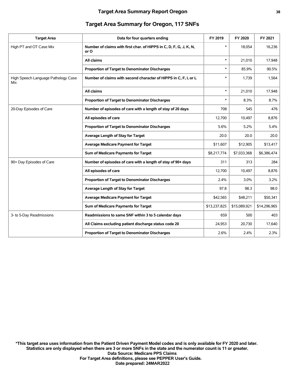| <b>Target Area</b>                         | Data for four quarters ending                                              | FY 2019      | FY 2020      | FY 2021      |
|--------------------------------------------|----------------------------------------------------------------------------|--------------|--------------|--------------|
| High PT and OT Case Mix                    | Number of claims with first char. of HIPPS in C, D, F, G, J, K, N,<br>or O | $\ast$       | 18.054       | 16,236       |
|                                            | All claims                                                                 | $\ast$       | 21,010       | 17,948       |
|                                            | Proportion of Target to Denominator Discharges                             | *            | 85.9%        | 90.5%        |
| High Speech Language Pathology Case<br>Mix | Number of claims with second character of HIPPS in C, F, I, or L           | *            | 1,739        | 1,564        |
|                                            | All claims                                                                 | $\ast$       | 21,010       | 17,948       |
|                                            | Proportion of Target to Denominator Discharges                             | $\ast$       | 8.3%         | 8.7%         |
| 20-Day Episodes of Care                    | Number of episodes of care with a length of stay of 20 days                | 708          | 545          | 476          |
|                                            | All episodes of care                                                       | 12,700       | 10,497       | 8,876        |
|                                            | Proportion of Target to Denominator Discharges                             | 5.6%         | 5.2%         | 5.4%         |
|                                            | Average Length of Stay for Target                                          | 20.0         | 20.0         | 20.0         |
|                                            | <b>Average Medicare Payment for Target</b>                                 | \$11,607     | \$12,905     | \$13,417     |
|                                            | Sum of Medicare Payments for Target                                        | \$8,217,774  | \$7,033,368  | \$6,386,474  |
| 90+ Day Episodes of Care                   | Number of episodes of care with a length of stay of 90+ days               | 311          | 313          | 284          |
|                                            | All episodes of care                                                       | 12,700       | 10,497       | 8,876        |
|                                            | Proportion of Target to Denominator Discharges                             | 2.4%         | 3.0%         | 3.2%         |
|                                            | Average Length of Stay for Target                                          | 97.8         | 98.3         | 98.0         |
|                                            | <b>Average Medicare Payment for Target</b>                                 | \$42,565     | \$48,211     | \$50,341     |
|                                            | Sum of Medicare Payments for Target                                        | \$13,237,825 | \$15,089,921 | \$14,296,965 |
| 3- to 5-Day Readmissions                   | Readmissions to same SNF within 3 to 5 calendar days                       | 659          | 500          | 403          |
|                                            | All Claims excluding patient discharge status code 20                      | 24,953       | 20,730       | 17,640       |
|                                            | <b>Proportion of Target to Denominator Discharges</b>                      | 2.6%         | 2.4%         | 2.3%         |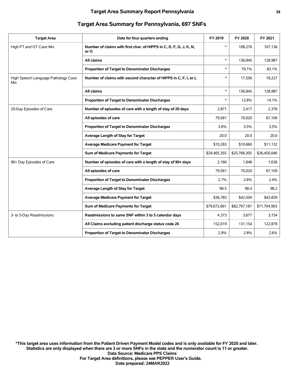| <b>Target Area</b>                         | Data for four quarters ending                                              | FY 2019      | FY 2020      | FY 2021      |
|--------------------------------------------|----------------------------------------------------------------------------|--------------|--------------|--------------|
| High PT and OT Case Mix                    | Number of claims with first char. of HIPPS in C, D, F, G, J, K, N,<br>or O | $\ast$       | 108,276      | 107,136      |
|                                            | All claims                                                                 | $\ast$       | 136,945      | 128,987      |
|                                            | Proportion of Target to Denominator Discharges                             | $\ast$       | 79.1%        | 83.1%        |
| High Speech Language Pathology Case<br>Mix | Number of claims with second character of HIPPS in C, F, I, or L           | $\ast$       | 17,556       | 18,227       |
|                                            | All claims                                                                 | $\ast$       | 136,945      | 128,987      |
|                                            | Proportion of Target to Denominator Discharges                             | $\ast$       | 12.8%        | 14.1%        |
| 20-Day Episodes of Care                    | Number of episodes of care with a length of stay of 20 days                | 2,871        | 2,417        | 2,376        |
|                                            | All episodes of care                                                       | 79,561       | 70,020       | 67,109       |
|                                            | Proportion of Target to Denominator Discharges                             | 3.6%         | 3.5%         | 3.5%         |
|                                            | Average Length of Stay for Target                                          | 20.0         | 20.0         | 20.0         |
|                                            | <b>Average Medicare Payment for Target</b>                                 | \$10,263     | \$10,660     | \$11,132     |
|                                            | Sum of Medicare Payments for Target                                        | \$29,465,355 | \$25,766,305 | \$26,450,046 |
| 90+ Day Episodes of Care                   | Number of episodes of care with a length of stay of 90+ days               | 2,166        | 1,948        | 1,636        |
|                                            | All episodes of care                                                       | 79,561       | 70,020       | 67,109       |
|                                            | Proportion of Target to Denominator Discharges                             | 2.7%         | 2.8%         | 2.4%         |
|                                            | Average Length of Stay for Target                                          | 98.5         | 98.4         | 98.2         |
|                                            | <b>Average Medicare Payment for Target</b>                                 | \$36,783     | \$42,504     | \$43,829     |
|                                            | Sum of Medicare Payments for Target                                        | \$79,672,661 | \$82,797,187 | \$71,704,903 |
| 3- to 5-Day Readmissions                   | Readmissions to same SNF within 3 to 5 calendar days                       | 4,373        | 3,677        | 3,154        |
|                                            | All Claims excluding patient discharge status code 20                      | 152,019      | 131,154      | 122,879      |
|                                            | Proportion of Target to Denominator Discharges                             | 2.9%         | 2.8%         | 2.6%         |
|                                            |                                                                            |              |              |              |

#### **Target Area Summary for Pennsylvania, 697 SNFs**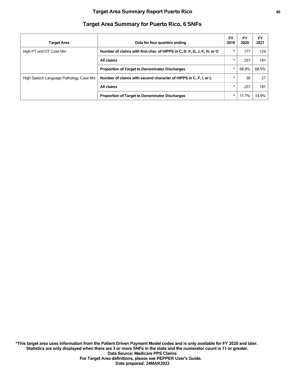| <b>Target Area</b>                      | Data for four quarters ending                                           | FY<br>2019 | <b>FY</b><br>2020 | FY<br>2021 |
|-----------------------------------------|-------------------------------------------------------------------------|------------|-------------------|------------|
| High PT and OT Case Mix                 | Number of claims with first char. of HIPPS in C, D, F, G, J, K, N, or O | $\ast$     | 177               | 124        |
|                                         | All claims                                                              | $\ast$     | 257               | 181        |
|                                         | <b>Proportion of Target to Denominator Discharges</b>                   | $\ast$     | 68.9%             | 68.5%      |
| High Speech Language Pathology Case Mix | Number of claims with second character of HIPPS in C, F, I, or L        | $\ast$     | 30                | 27         |
|                                         | All claims                                                              | $\ast$     | 257               | 181        |
|                                         | <b>Proportion of Target to Denominator Discharges</b>                   | $\ast$     | 11.7%             | 14.9%      |

## **Target Area Summary for Puerto Rico, 6 SNFs**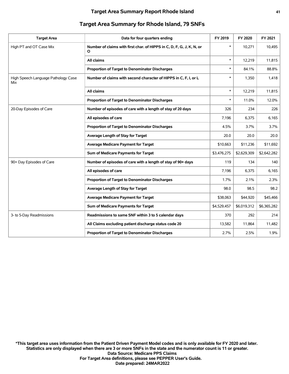| <b>Target Area</b>                         | Data for four quarters ending                                              | FY 2019     | FY 2020     | FY 2021     |
|--------------------------------------------|----------------------------------------------------------------------------|-------------|-------------|-------------|
| High PT and OT Case Mix                    | Number of claims with first char. of HIPPS in C, D, F, G, J, K, N, or<br>O | $\ast$      | 10,271      | 10,495      |
|                                            | All claims                                                                 | $\ast$      | 12,219      | 11,815      |
|                                            | Proportion of Target to Denominator Discharges                             | $\ast$      | 84.1%       | 88.8%       |
| High Speech Language Pathology Case<br>Mix | Number of claims with second character of HIPPS in C, F, I, or L           | $\ast$      | 1,350       | 1,418       |
|                                            | All claims                                                                 | $\ast$      | 12,219      | 11,815      |
|                                            | Proportion of Target to Denominator Discharges                             | $\ast$      | 11.0%       | 12.0%       |
| 20-Day Episodes of Care                    | Number of episodes of care with a length of stay of 20 days                | 326         | 234         | 226         |
|                                            | All episodes of care                                                       | 7,196       | 6,375       | 6,165       |
|                                            | <b>Proportion of Target to Denominator Discharges</b>                      | 4.5%        | 3.7%        | 3.7%        |
|                                            | Average Length of Stay for Target                                          | 20.0        | 20.0        | 20.0        |
|                                            | <b>Average Medicare Payment for Target</b>                                 | \$10,663    | \$11,236    | \$11,692    |
|                                            | Sum of Medicare Payments for Target                                        | \$3,476,275 | \$2,629,309 | \$2,642,282 |
| 90+ Day Episodes of Care                   | Number of episodes of care with a length of stay of 90+ days               | 119         | 134         | 140         |
|                                            | All episodes of care                                                       | 7,196       | 6,375       | 6,165       |
|                                            | Proportion of Target to Denominator Discharges                             | 1.7%        | 2.1%        | 2.3%        |
|                                            | Average Length of Stay for Target                                          | 98.0        | 98.5        | 98.2        |
|                                            | <b>Average Medicare Payment for Target</b>                                 | \$38,063    | \$44,920    | \$45,466    |
|                                            | Sum of Medicare Payments for Target                                        | \$4,529,457 | \$6,019,312 | \$6,365,282 |
| 3- to 5-Day Readmissions                   | Readmissions to same SNF within 3 to 5 calendar days                       | 370         | 292         | 214         |
|                                            | All Claims excluding patient discharge status code 20                      | 13,582      | 11,864      | 11,482      |
|                                            | Proportion of Target to Denominator Discharges                             | 2.7%        | 2.5%        | 1.9%        |
|                                            |                                                                            |             |             |             |

#### **Target Area Summary for Rhode Island, 79 SNFs**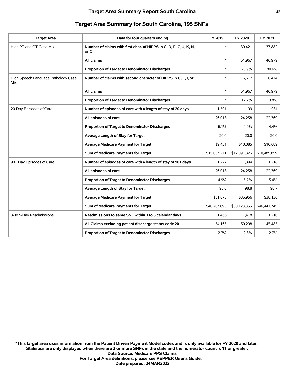| <b>Target Area</b>                         | Data for four quarters ending                                              | FY 2019      | FY 2020      | FY 2021      |
|--------------------------------------------|----------------------------------------------------------------------------|--------------|--------------|--------------|
| High PT and OT Case Mix                    | Number of claims with first char. of HIPPS in C, D, F, G, J, K, N,<br>or O | $\ast$       | 39,421       | 37,882       |
|                                            | <b>All claims</b>                                                          | $\ast$       | 51,967       | 46,979       |
|                                            | Proportion of Target to Denominator Discharges                             | $\ast$       | 75.9%        | 80.6%        |
| High Speech Language Pathology Case<br>Mix | Number of claims with second character of HIPPS in C, F, I, or L           | *            | 6,617        | 6,474        |
|                                            | All claims                                                                 | $\ast$       | 51,967       | 46,979       |
|                                            | Proportion of Target to Denominator Discharges                             | $\ast$       | 12.7%        | 13.8%        |
| 20-Day Episodes of Care                    | Number of episodes of care with a length of stay of 20 days                | 1,591        | 1,199        | 981          |
|                                            | All episodes of care                                                       | 26,018       | 24,258       | 22,369       |
|                                            | Proportion of Target to Denominator Discharges                             | 6.1%         | 4.9%         | 4.4%         |
|                                            | Average Length of Stay for Target                                          | 20.0         | 20.0         | 20.0         |
|                                            | <b>Average Medicare Payment for Target</b>                                 | \$9,451      | \$10,085     | \$10,689     |
|                                            | Sum of Medicare Payments for Target                                        | \$15,037,271 | \$12,091,826 | \$10,485,859 |
| 90+ Day Episodes of Care                   | Number of episodes of care with a length of stay of 90+ days               | 1,277        | 1,394        | 1,218        |
|                                            | All episodes of care                                                       | 26,018       | 24,258       | 22,369       |
|                                            | Proportion of Target to Denominator Discharges                             | 4.9%         | 5.7%         | 5.4%         |
|                                            | Average Length of Stay for Target                                          | 98.6         | 98.8         | 98.7         |
|                                            | <b>Average Medicare Payment for Target</b>                                 | \$31,878     | \$35,956     | \$38,130     |
|                                            | Sum of Medicare Payments for Target                                        | \$40,707,695 | \$50,123,355 | \$46,441,745 |
| 3- to 5-Day Readmissions                   | Readmissions to same SNF within 3 to 5 calendar days                       | 1,466        | 1,418        | 1,210        |
|                                            | All Claims excluding patient discharge status code 20                      | 54,165       | 50,298       | 45,485       |
|                                            | <b>Proportion of Target to Denominator Discharges</b>                      | 2.7%         | 2.8%         | 2.7%         |
|                                            |                                                                            |              |              |              |

#### **Target Area Summary for South Carolina, 195 SNFs**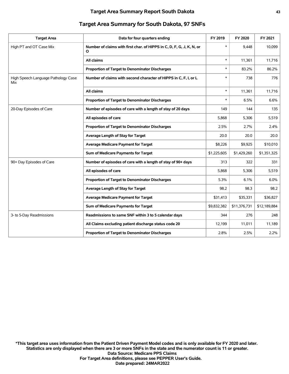| <b>Target Area</b>                         | Data for four quarters ending                                              | FY 2019     | FY 2020      | FY 2021      |
|--------------------------------------------|----------------------------------------------------------------------------|-------------|--------------|--------------|
| High PT and OT Case Mix                    | Number of claims with first char. of HIPPS in C, D, F, G, J, K, N, or<br>O | $\ast$      | 9.448        | 10,099       |
|                                            | All claims                                                                 | $\ast$      | 11.361       | 11,716       |
|                                            | Proportion of Target to Denominator Discharges                             | $\ast$      | 83.2%        | 86.2%        |
| High Speech Language Pathology Case<br>Mix | Number of claims with second character of HIPPS in C, F, I, or L           | $\ast$      | 738          | 776          |
|                                            | All claims                                                                 | $\ast$      | 11,361       | 11,716       |
|                                            | Proportion of Target to Denominator Discharges                             | $\ast$      | 6.5%         | 6.6%         |
| 20-Day Episodes of Care                    | Number of episodes of care with a length of stay of 20 days                | 149         | 144          | 135          |
|                                            | All episodes of care                                                       | 5,868       | 5,306        | 5,519        |
|                                            | Proportion of Target to Denominator Discharges                             | 2.5%        | 2.7%         | 2.4%         |
|                                            | Average Length of Stay for Target                                          | 20.0        | 20.0         | 20.0         |
|                                            | <b>Average Medicare Payment for Target</b>                                 | \$8,226     | \$9,925      | \$10,010     |
|                                            | Sum of Medicare Payments for Target                                        | \$1,225,605 | \$1,429,260  | \$1,351,325  |
| 90+ Day Episodes of Care                   | Number of episodes of care with a length of stay of 90+ days               | 313         | 322          | 331          |
|                                            | All episodes of care                                                       | 5,868       | 5,306        | 5,519        |
|                                            | Proportion of Target to Denominator Discharges                             | 5.3%        | 6.1%         | 6.0%         |
|                                            | Average Length of Stay for Target                                          | 98.2        | 98.3         | 98.2         |
|                                            | <b>Average Medicare Payment for Target</b>                                 | \$31,413    | \$35,331     | \$36,827     |
|                                            | Sum of Medicare Payments for Target                                        | \$9,832,382 | \$11,376,731 | \$12,189,884 |
| 3- to 5-Day Readmissions                   | Readmissions to same SNF within 3 to 5 calendar days                       | 344         | 276          | 248          |
|                                            | All Claims excluding patient discharge status code 20                      | 12,199      | 11,011       | 11,189       |
|                                            | Proportion of Target to Denominator Discharges                             | 2.8%        | 2.5%         | 2.2%         |
|                                            |                                                                            |             |              |              |

#### **Target Area Summary for South Dakota, 97 SNFs**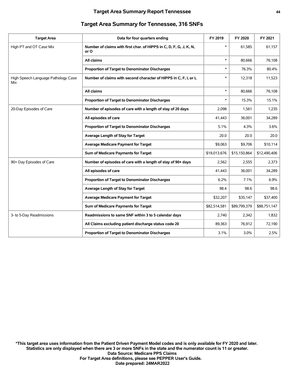| <b>Target Area</b>                         | Data for four quarters ending                                              | FY 2019      | FY 2020      | FY 2021      |
|--------------------------------------------|----------------------------------------------------------------------------|--------------|--------------|--------------|
| High PT and OT Case Mix                    | Number of claims with first char. of HIPPS in C, D, F, G, J, K, N,<br>or O | $\ast$       | 61,585       | 61,157       |
|                                            | All claims                                                                 | $\ast$       | 80,666       | 76,108       |
|                                            | Proportion of Target to Denominator Discharges                             | $\ast$       | 76.3%        | 80.4%        |
| High Speech Language Pathology Case<br>Mix | Number of claims with second character of HIPPS in C, F, I, or L           | $\ast$       | 12,318       | 11,523       |
|                                            | All claims                                                                 | $\ast$       | 80,666       | 76,108       |
|                                            | Proportion of Target to Denominator Discharges                             | $\ast$       | 15.3%        | 15.1%        |
| 20-Day Episodes of Care                    | Number of episodes of care with a length of stay of 20 days                | 2,098        | 1,561        | 1,235        |
|                                            | All episodes of care                                                       | 41,443       | 36,001       | 34,289       |
|                                            | Proportion of Target to Denominator Discharges                             | 5.1%         | 4.3%         | 3.6%         |
|                                            | Average Length of Stay for Target                                          | 20.0         | 20.0         | 20.0         |
|                                            | <b>Average Medicare Payment for Target</b>                                 | \$9.063      | \$9.706      | \$10.114     |
|                                            | Sum of Medicare Payments for Target                                        | \$19,013,676 | \$15,150,864 | \$12,490,406 |
| 90+ Day Episodes of Care                   | Number of episodes of care with a length of stay of 90+ days               | 2,562        | 2,555        | 2,373        |
|                                            | All episodes of care                                                       | 41,443       | 36,001       | 34,289       |
|                                            | Proportion of Target to Denominator Discharges                             | 6.2%         | 7.1%         | 6.9%         |
|                                            | Average Length of Stay for Target                                          | 98.4         | 98.6         | 98.6         |
|                                            | <b>Average Medicare Payment for Target</b>                                 | \$32,207     | \$35,147     | \$37,400     |
|                                            | Sum of Medicare Payments for Target                                        | \$82,514,581 | \$89,799,379 | \$88,751,147 |
| 3- to 5-Day Readmissions                   | Readmissions to same SNF within 3 to 5 calendar days                       | 2,740        | 2,342        | 1,832        |
|                                            | All Claims excluding patient discharge status code 20                      | 89.363       | 76.912       | 72.190       |
|                                            | <b>Proportion of Target to Denominator Discharges</b>                      | 3.1%         | 3.0%         | 2.5%         |
|                                            |                                                                            |              |              |              |

#### **Target Area Summary for Tennessee, 316 SNFs**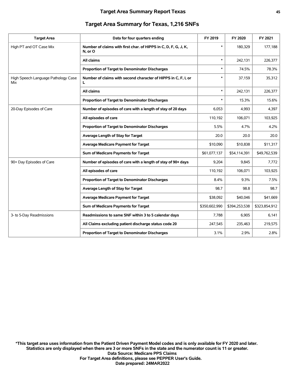| <b>Target Area</b>                         | Data for four quarters ending                                              | FY 2019       | FY 2020       | FY 2021       |
|--------------------------------------------|----------------------------------------------------------------------------|---------------|---------------|---------------|
| High PT and OT Case Mix                    | Number of claims with first char. of HIPPS in C, D, F, G, J, K,<br>N, or O | $\ast$        | 180,329       | 177,188       |
|                                            | All claims                                                                 | *             | 242,131       | 226,377       |
|                                            | Proportion of Target to Denominator Discharges                             | $\ast$        | 74.5%         | 78.3%         |
| High Speech Language Pathology Case<br>Mix | Number of claims with second character of HIPPS in C, F, I, or<br>L        | *             | 37,159        | 35,312        |
|                                            | All claims                                                                 | $\ast$        | 242,131       | 226,377       |
|                                            | Proportion of Target to Denominator Discharges                             | $\ast$        | 15.3%         | 15.6%         |
| 20-Day Episodes of Care                    | Number of episodes of care with a length of stay of 20 days                | 6,053         | 4,993         | 4,397         |
|                                            | All episodes of care                                                       | 110,192       | 106,071       | 103,925       |
|                                            | <b>Proportion of Target to Denominator Discharges</b>                      | 5.5%          | 4.7%          | 4.2%          |
|                                            | Average Length of Stay for Target                                          | 20.0          | 20.0          | 20.0          |
|                                            | <b>Average Medicare Payment for Target</b>                                 | \$10,090      | \$10,838      | \$11,317      |
|                                            | Sum of Medicare Payments for Target                                        | \$61,077,137  | \$54,114,391  | \$49,762,539  |
| 90+ Day Episodes of Care                   | Number of episodes of care with a length of stay of 90+ days               | 9,204         | 9,845         | 7,772         |
|                                            | All episodes of care                                                       | 110,192       | 106,071       | 103,925       |
|                                            | Proportion of Target to Denominator Discharges                             | 8.4%          | 9.3%          | 7.5%          |
|                                            | Average Length of Stay for Target                                          | 98.7          | 98.8          | 98.7          |
|                                            | <b>Average Medicare Payment for Target</b>                                 | \$38,092      | \$40,046      | \$41,669      |
|                                            | Sum of Medicare Payments for Target                                        | \$350,602,990 | \$394,253,538 | \$323,854,912 |
| 3- to 5-Day Readmissions                   | Readmissions to same SNF within 3 to 5 calendar days                       | 7.788         | 6.905         | 6,141         |
|                                            | All Claims excluding patient discharge status code 20                      | 247,545       | 235,463       | 219,575       |
|                                            | <b>Proportion of Target to Denominator Discharges</b>                      | 3.1%          | 2.9%          | 2.8%          |

#### **Target Area Summary for Texas, 1,216 SNFs**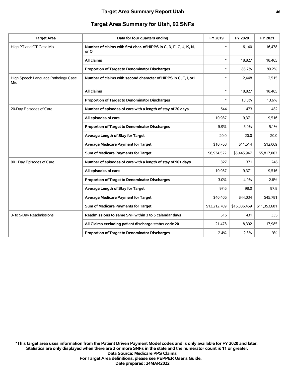#### **Target Area Summary for Utah, 92 SNFs**

| <b>Target Area</b>                         | Data for four quarters ending                                              | FY 2019      | FY 2020      | FY 2021      |
|--------------------------------------------|----------------------------------------------------------------------------|--------------|--------------|--------------|
| High PT and OT Case Mix                    | Number of claims with first char. of HIPPS in C, D, F, G, J, K, N,<br>or O | $\ast$       | 16,140       | 16,478       |
|                                            | All claims                                                                 | $\ast$       | 18,827       | 18,465       |
|                                            | Proportion of Target to Denominator Discharges                             | $\ast$       | 85.7%        | 89.2%        |
| High Speech Language Pathology Case<br>Mix | Number of claims with second character of HIPPS in C, F, I, or L           | *            | 2.448        | 2,515        |
|                                            | All claims                                                                 | $\ast$       | 18.827       | 18,465       |
|                                            | Proportion of Target to Denominator Discharges                             | $\ast$       | 13.0%        | 13.6%        |
| 20-Day Episodes of Care                    | Number of episodes of care with a length of stay of 20 days                | 644          | 473          | 482          |
|                                            | All episodes of care                                                       | 10,987       | 9,371        | 9,516        |
|                                            | Proportion of Target to Denominator Discharges                             | 5.9%         | 5.0%         | 5.1%         |
|                                            | Average Length of Stay for Target                                          | 20.0         | 20.0         | 20.0         |
|                                            | <b>Average Medicare Payment for Target</b>                                 | \$10,768     | \$11,514     | \$12,069     |
|                                            | Sum of Medicare Payments for Target                                        | \$6,934,522  | \$5,445,947  | \$5,817,063  |
| 90+ Day Episodes of Care                   | Number of episodes of care with a length of stay of 90+ days               | 327          | 371          | 248          |
|                                            | All episodes of care                                                       | 10,987       | 9,371        | 9,516        |
|                                            | Proportion of Target to Denominator Discharges                             | 3.0%         | 4.0%         | 2.6%         |
|                                            | Average Length of Stay for Target                                          | 97.6         | 98.0         | 97.8         |
|                                            | <b>Average Medicare Payment for Target</b>                                 | \$40,406     | \$44,034     | \$45,781     |
|                                            | Sum of Medicare Payments for Target                                        | \$13,212,789 | \$16,336,459 | \$11,353,681 |
| 3- to 5-Day Readmissions                   | Readmissions to same SNF within 3 to 5 calendar days                       | 515          | 431          | 335          |
|                                            | All Claims excluding patient discharge status code 20                      | 21,478       | 18,392       | 17,985       |
|                                            | Proportion of Target to Denominator Discharges                             | 2.4%         | 2.3%         | 1.9%         |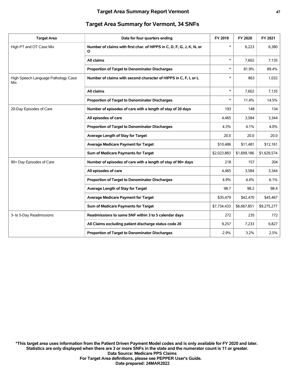| <b>Target Area Summary for Vermont, 34 SNFs</b> |  |  |  |
|-------------------------------------------------|--|--|--|
|-------------------------------------------------|--|--|--|

| <b>Target Area</b>                         | Data for four quarters ending                                              | FY 2019     | FY 2020     | FY 2021     |
|--------------------------------------------|----------------------------------------------------------------------------|-------------|-------------|-------------|
| High PT and OT Case Mix                    | Number of claims with first char, of HIPPS in C, D, F, G, J, K, N, or<br>O | $\ast$      | 6,223       | 6,380       |
|                                            | All claims                                                                 | $\ast$      | 7,602       | 7,135       |
|                                            | Proportion of Target to Denominator Discharges                             | $\ast$      | 81.9%       | 89.4%       |
| High Speech Language Pathology Case<br>Mix | Number of claims with second character of HIPPS in C, F, I, or L           | $\ast$      | 863         | 1,032       |
|                                            | All claims                                                                 | $\ast$      | 7,602       | 7,135       |
|                                            | Proportion of Target to Denominator Discharges                             | $\ast$      | 11.4%       | 14.5%       |
| 20-Day Episodes of Care                    | Number of episodes of care with a length of stay of 20 days                | 193         | 148         | 134         |
|                                            | All episodes of care                                                       | 4.465       | 3,584       | 3,344       |
|                                            | Proportion of Target to Denominator Discharges                             | 4.3%        | 4.1%        | 4.0%        |
|                                            | Average Length of Stay for Target                                          | 20.0        | 20.0        | 20.0        |
|                                            | <b>Average Medicare Payment for Target</b>                                 | \$10,486    | \$11,481    | \$12,161    |
|                                            | Sum of Medicare Payments for Target                                        | \$2,023,883 | \$1,699,186 | \$1,629,574 |
| 90+ Day Episodes of Care                   | Number of episodes of care with a length of stay of 90+ days               | 218         | 157         | 204         |
|                                            | All episodes of care                                                       | 4,465       | 3,584       | 3,344       |
|                                            | Proportion of Target to Denominator Discharges                             | 4.9%        | 4.4%        | 6.1%        |
|                                            | Average Length of Stay for Target                                          | 98.7        | 98.2        | 98.4        |
|                                            | <b>Average Medicare Payment for Target</b>                                 | \$35,479    | \$42,470    | \$45,467    |
|                                            | Sum of Medicare Payments for Target                                        | \$7,734,433 | \$6,667,851 | \$9,275,277 |
| 3- to 5-Day Readmissions                   | Readmissions to same SNF within 3 to 5 calendar days                       | 272         | 235         | 172         |
|                                            | All Claims excluding patient discharge status code 20                      | 9,257       | 7,233       | 6,827       |
|                                            | Proportion of Target to Denominator Discharges                             | 2.9%        | 3.2%        | 2.5%        |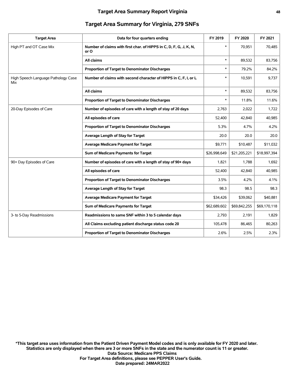## **Target Area Summary for Virginia, 279 SNFs**

| <b>Target Area</b>                         | Data for four quarters ending                                              | FY 2019      | FY 2020      | FY 2021      |
|--------------------------------------------|----------------------------------------------------------------------------|--------------|--------------|--------------|
| High PT and OT Case Mix                    | Number of claims with first char. of HIPPS in C, D, F, G, J, K, N,<br>or O | $\ast$       | 70,951       | 70,485       |
|                                            | All claims                                                                 | $\ast$       | 89,532       | 83,756       |
|                                            | Proportion of Target to Denominator Discharges                             | $\ast$       | 79.2%        | 84.2%        |
| High Speech Language Pathology Case<br>Mix | Number of claims with second character of HIPPS in C, F, I, or L           | *            | 10,591       | 9,737        |
|                                            | All claims                                                                 | $\ast$       | 89,532       | 83,756       |
|                                            | Proportion of Target to Denominator Discharges                             | *            | 11.8%        | 11.6%        |
| 20-Day Episodes of Care                    | Number of episodes of care with a length of stay of 20 days                | 2,763        | 2,022        | 1,722        |
|                                            | All episodes of care                                                       | 52,400       | 42,840       | 40,985       |
|                                            | Proportion of Target to Denominator Discharges                             | 5.3%         | 4.7%         | 4.2%         |
|                                            | Average Length of Stay for Target                                          | 20.0         | 20.0         | 20.0         |
|                                            | <b>Average Medicare Payment for Target</b>                                 | \$9,771      | \$10,487     | \$11,032     |
|                                            | Sum of Medicare Payments for Target                                        | \$26,998,649 | \$21,205,221 | \$18,997,394 |
| 90+ Day Episodes of Care                   | Number of episodes of care with a length of stay of 90+ days               | 1,821        | 1,788        | 1,692        |
|                                            | All episodes of care                                                       | 52,400       | 42,840       | 40,985       |
|                                            | Proportion of Target to Denominator Discharges                             | 3.5%         | 4.2%         | 4.1%         |
|                                            | Average Length of Stay for Target                                          | 98.3         | 98.5         | 98.3         |
|                                            | <b>Average Medicare Payment for Target</b>                                 | \$34,426     | \$39,062     | \$40,881     |
|                                            | Sum of Medicare Payments for Target                                        | \$62,689,602 | \$69,842,255 | \$69,170,118 |
| 3- to 5-Day Readmissions                   | Readmissions to same SNF within 3 to 5 calendar days                       | 2,793        | 2,191        | 1,829        |
|                                            | All Claims excluding patient discharge status code 20                      | 105,478      | 86,465       | 80,263       |
|                                            | Proportion of Target to Denominator Discharges                             | 2.6%         | 2.5%         | 2.3%         |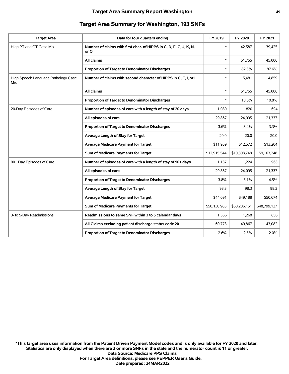| <b>Target Area</b>                         | Data for four quarters ending                                              | FY 2019      | FY 2020      | FY 2021      |
|--------------------------------------------|----------------------------------------------------------------------------|--------------|--------------|--------------|
| High PT and OT Case Mix                    | Number of claims with first char. of HIPPS in C, D, F, G, J, K, N,<br>or O | $\ast$       | 42,587       | 39,425       |
|                                            | All claims                                                                 | $\ast$       | 51,755       | 45,006       |
|                                            | Proportion of Target to Denominator Discharges                             | $\ast$       | 82.3%        | 87.6%        |
| High Speech Language Pathology Case<br>Mix | Number of claims with second character of HIPPS in C, F, I, or L           | $\ast$       | 5,481        | 4,859        |
|                                            | All claims                                                                 | $\ast$       | 51,755       | 45,006       |
|                                            | Proportion of Target to Denominator Discharges                             | $\ast$       | 10.6%        | 10.8%        |
| 20-Day Episodes of Care                    | Number of episodes of care with a length of stay of 20 days                | 1,080        | 820          | 694          |
|                                            | All episodes of care                                                       | 29,867       | 24,095       | 21,337       |
|                                            | Proportion of Target to Denominator Discharges                             | 3.6%         | 3.4%         | 3.3%         |
|                                            | Average Length of Stay for Target                                          | 20.0         | 20.0         | 20.0         |
|                                            | <b>Average Medicare Payment for Target</b>                                 | \$11,959     | \$12,572     | \$13,204     |
|                                            | Sum of Medicare Payments for Target                                        | \$12,915,544 | \$10,308,748 | \$9,163,248  |
| 90+ Day Episodes of Care                   | Number of episodes of care with a length of stay of 90+ days               | 1,137        | 1,224        | 963          |
|                                            | All episodes of care                                                       | 29.867       | 24.095       | 21,337       |
|                                            | Proportion of Target to Denominator Discharges                             | 3.8%         | 5.1%         | 4.5%         |
|                                            | Average Length of Stay for Target                                          | 98.3         | 98.3         | 98.3         |
|                                            | <b>Average Medicare Payment for Target</b>                                 | \$44,091     | \$49,188     | \$50,674     |
|                                            | Sum of Medicare Payments for Target                                        | \$50,130,985 | \$60,206,151 | \$48,799,127 |
| 3- to 5-Day Readmissions                   | Readmissions to same SNF within 3 to 5 calendar days                       | 1,566        | 1,268        | 858          |
|                                            | All Claims excluding patient discharge status code 20                      | 60.773       | 49.867       | 43,082       |
|                                            | <b>Proportion of Target to Denominator Discharges</b>                      | 2.6%         | 2.5%         | 2.0%         |
|                                            |                                                                            |              |              |              |

#### **Target Area Summary for Washington, 193 SNFs**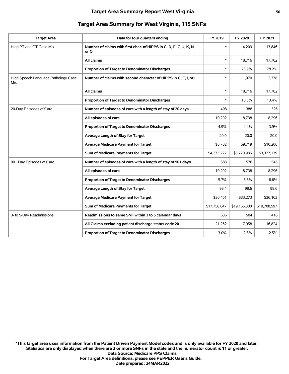| <b>Target Area</b>                         | Data for four quarters ending                                              | FY 2019      | FY 2020      | FY 2021      |
|--------------------------------------------|----------------------------------------------------------------------------|--------------|--------------|--------------|
| High PT and OT Case Mix                    | Number of claims with first char. of HIPPS in C, D, F, G, J, K, N,<br>or O | $\ast$       | 14,209       | 13,846       |
|                                            | All claims                                                                 | $\ast$       | 18.716       | 17,702       |
|                                            | Proportion of Target to Denominator Discharges                             | $\ast$       | 75.9%        | 78.2%        |
| High Speech Language Pathology Case<br>Mix | Number of claims with second character of HIPPS in C, F, I, or L           | $\ast$       | 1,970        | 2,378        |
|                                            | All claims                                                                 | $\ast$       | 18,716       | 17,702       |
|                                            | Proportion of Target to Denominator Discharges                             | $\ast$       | 10.5%        | 13.4%        |
| 20-Day Episodes of Care                    | Number of episodes of care with a length of stay of 20 days                | 498          | 388          | 326          |
|                                            | All episodes of care                                                       | 10,202       | 8,738        | 8,296        |
|                                            | Proportion of Target to Denominator Discharges                             | 4.9%         | 4.4%         | 3.9%         |
|                                            | Average Length of Stay for Target                                          | 20.0         | 20.0         | 20.0         |
|                                            | <b>Average Medicare Payment for Target</b>                                 | \$8,782      | \$9,719      | \$10,206     |
|                                            | Sum of Medicare Payments for Target                                        | \$4,373,222  | \$3,770,985  | \$3,327,139  |
| 90+ Day Episodes of Care                   | Number of episodes of care with a length of stay of 90+ days               | 583          | 576          | 545          |
|                                            | All episodes of care                                                       | 10,202       | 8,738        | 8,296        |
|                                            | Proportion of Target to Denominator Discharges                             | 5.7%         | 6.6%         | 6.6%         |
|                                            | Average Length of Stay for Target                                          | 98.4         | 98.6         | 98.6         |
|                                            | <b>Average Medicare Payment for Target</b>                                 | \$30,461     | \$33,273     | \$36,163     |
|                                            | Sum of Medicare Payments for Target                                        | \$17,758,647 | \$19,165,308 | \$19,708,597 |
| 3- to 5-Day Readmissions                   | Readmissions to same SNF within 3 to 5 calendar days                       | 636          | 504          | 416          |
|                                            | All Claims excluding patient discharge status code 20                      | 21,262       | 17,958       | 16,824       |
|                                            | Proportion of Target to Denominator Discharges                             | 3.0%         | 2.8%         | 2.5%         |
|                                            |                                                                            |              |              |              |

#### **Target Area Summary for West Virginia, 115 SNFs**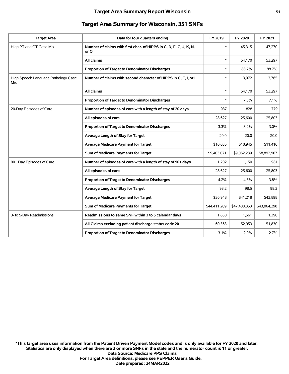| <b>Target Area</b>                         | Data for four quarters ending                                              | FY 2019      | FY 2020      | FY 2021      |
|--------------------------------------------|----------------------------------------------------------------------------|--------------|--------------|--------------|
| High PT and OT Case Mix                    | Number of claims with first char. of HIPPS in C, D, F, G, J, K, N,<br>or O | $\ast$       | 45,315       | 47,270       |
|                                            | All claims                                                                 | $\ast$       | 54,170       | 53,297       |
|                                            | Proportion of Target to Denominator Discharges                             | $\ast$       | 83.7%        | 88.7%        |
| High Speech Language Pathology Case<br>Mix | Number of claims with second character of HIPPS in C, F, I, or L           | $\ast$       | 3,972        | 3,765        |
|                                            | All claims                                                                 | $\ast$       | 54,170       | 53,297       |
|                                            | Proportion of Target to Denominator Discharges                             | $\ast$       | 7.3%         | 7.1%         |
| 20-Day Episodes of Care                    | Number of episodes of care with a length of stay of 20 days                | 937          | 828          | 779          |
|                                            | All episodes of care                                                       | 28,627       | 25,600       | 25,803       |
|                                            | <b>Proportion of Target to Denominator Discharges</b>                      | 3.3%         | 3.2%         | 3.0%         |
|                                            | Average Length of Stay for Target                                          | 20.0         | 20.0         | 20.0         |
|                                            | <b>Average Medicare Payment for Target</b>                                 | \$10,035     | \$10,945     | \$11,416     |
|                                            | Sum of Medicare Payments for Target                                        | \$9,403,071  | \$9,062,239  | \$8,892,967  |
| 90+ Day Episodes of Care                   | Number of episodes of care with a length of stay of 90+ days               | 1,202        | 1,150        | 981          |
|                                            | All episodes of care                                                       | 28,627       | 25,600       | 25,803       |
|                                            | Proportion of Target to Denominator Discharges                             | 4.2%         | 4.5%         | 3.8%         |
|                                            | Average Length of Stay for Target                                          | 98.2         | 98.5         | 98.3         |
|                                            | <b>Average Medicare Payment for Target</b>                                 | \$36,948     | \$41,218     | \$43,898     |
|                                            | Sum of Medicare Payments for Target                                        | \$44,411,209 | \$47,400,853 | \$43,064,298 |
| 3- to 5-Day Readmissions                   | Readmissions to same SNF within 3 to 5 calendar days                       | 1,850        | 1,561        | 1,390        |
|                                            | All Claims excluding patient discharge status code 20                      | 60,363       | 52,953       | 51,830       |
|                                            | Proportion of Target to Denominator Discharges                             | 3.1%         | 2.9%         | 2.7%         |
|                                            |                                                                            |              |              |              |

#### **Target Area Summary for Wisconsin, 351 SNFs**